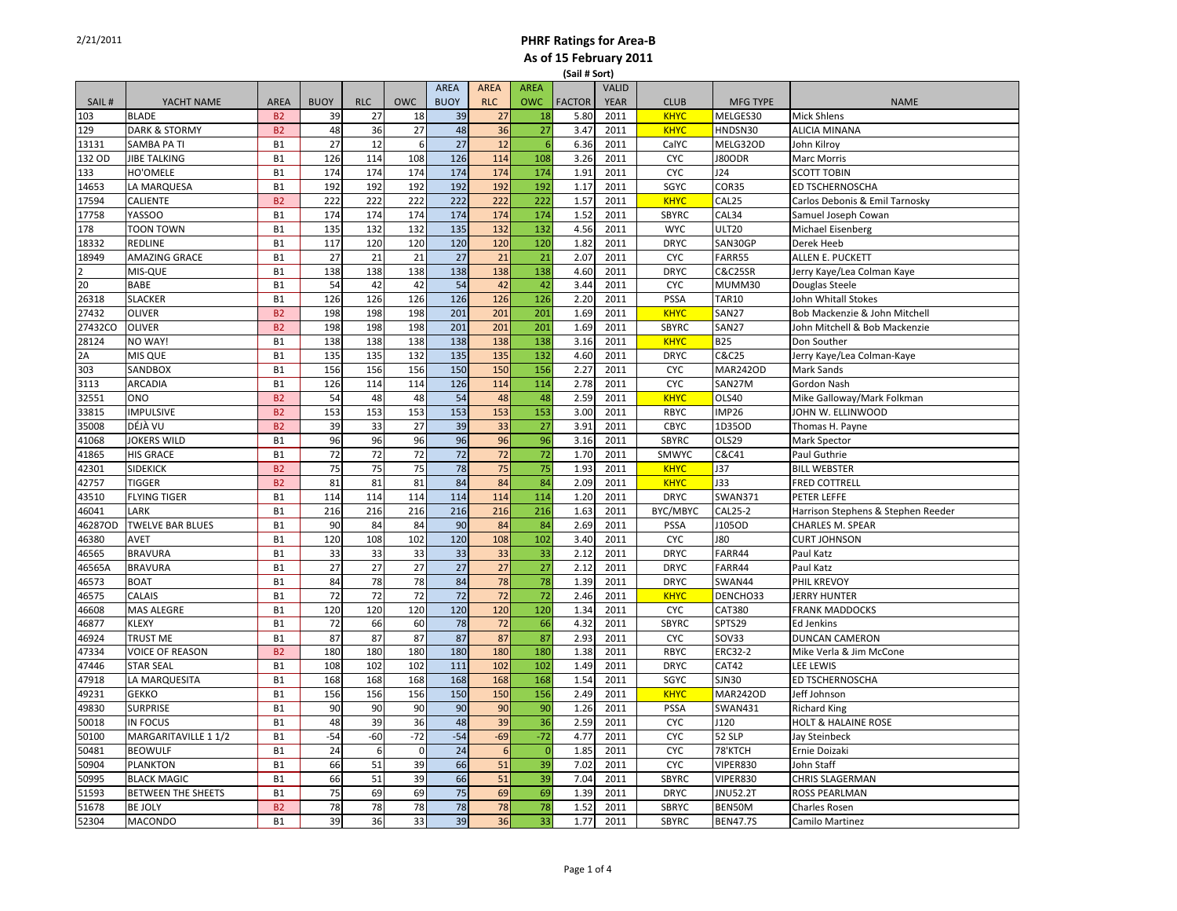| <b>FACTOR</b><br>SAIL#<br><b>BUOY</b><br><b>RLC</b><br><b>OWC</b><br><b>BUOY</b><br><b>RLC</b><br><b>OWC</b><br><b>CLUB</b><br>YACHT NAME<br><b>AREA</b><br><b>YEAR</b><br><b>MFG TYPE</b><br><b>NAME</b><br>39<br>5.80<br><b>KHYC</b><br>103<br><b>BLADE</b><br><b>B2</b><br>39<br>27<br>18<br>27<br>18<br>2011<br>MELGES30<br><b>Mick Shlens</b><br>36<br>129<br>B <sub>2</sub><br>48<br>36<br>27<br>48<br>27<br><b>KHYC</b><br><b>DARK &amp; STORMY</b><br>3.47<br>2011<br>HNDSN30<br><b>ALICIA MINANA</b><br>27<br>27<br>12<br>6<br>12<br>6<br>6.36<br>13131<br>SAMBA PA TI<br>2011<br>CalYC<br>MELG32OD<br>John Kilroy<br><b>B1</b><br>B1<br>114<br>126<br>114<br>108<br>132 OD<br><b>JIBE TALKING</b><br>126<br>108<br>3.26<br>2011<br><b>CYC</b><br>J80ODR<br><b>Marc Morris</b><br>174<br>174<br>133<br>HO'OMELE<br><b>B1</b><br>174<br>174<br>174<br>174<br>1.91<br>2011<br><b>CYC</b><br>J24<br><b>SCOTT TOBIN</b><br>192<br>192<br>14653<br>LA MARQUESA<br><b>B1</b><br>192<br>192<br>192<br>192<br>1.17<br>2011<br>SGYC<br>COR35<br>ED TSCHERNOSCHA<br>B <sub>2</sub><br>222<br>222<br>222<br>222<br>17594<br><b>CALIENTE</b><br>222<br>222<br>1.57<br>2011<br><b>KHYC</b><br>CAL25<br>Carlos Debonis & Emil Tarnosky<br>174<br>174<br>174<br>174<br>174<br>174<br>1.52<br>2011<br>17758<br><b>YASSOO</b><br><b>B1</b><br><b>SBYRC</b><br>CAL34<br>Samuel Joseph Cowan<br>135<br>132<br>135<br>132<br>132<br><b>WYC</b><br>178<br><b>TOON TOWN</b><br><b>B1</b><br>132<br>4.56<br>2011<br><b>ULT20</b><br>Michael Eisenberg<br>120<br>120<br>120<br>120<br>18332<br><b>REDLINE</b><br><b>B1</b><br>117<br>120<br>1.82<br>2011<br><b>DRYC</b><br>SAN30GP<br>Derek Heeb<br>21<br>21<br>21<br>18949<br><b>AMAZING GRACE</b><br><b>B1</b><br>27<br>21<br>27<br>2.07<br>2011<br><b>CYC</b><br>FARR55<br>ALLEN E. PUCKETT<br>$\mathfrak{p}$<br>138<br>138<br>138<br>138<br><b>B1</b><br>138<br>138<br>4.60<br>2011<br><b>DRYC</b><br><b>C&amp;C25SR</b><br>Jerry Kaye/Lea Colman Kaye<br>MIS-QUE<br>20<br>42<br><b>BABE</b><br><b>B1</b><br>54<br>42<br>42<br>54<br>42<br>3.44<br>2011<br><b>CYC</b><br>MUMM30<br>Douglas Steele<br>126<br>26318<br><b>B1</b><br>126<br>126<br>126<br><b>SLACKER</b><br>126<br>126<br>2.20<br>2011<br><b>PSSA</b><br><b>TAR10</b><br>John Whitall Stokes<br>201<br>201<br><b>KHYC</b><br>27432<br><b>OLIVER</b><br><b>B2</b><br>198<br>198<br>198<br>201<br>1.69<br>2011<br>SAN27<br>Bob Mackenzie & John Mitchell<br>201<br>201<br>27432CO<br><b>OLIVER</b><br>B <sub>2</sub><br>198<br>198<br>198<br>201<br>1.69<br>2011<br>SBYRC<br><b>SAN27</b><br>John Mitchell & Bob Mackenzie<br>138<br>28124<br>NO WAY!<br>B1<br>138<br>138<br>138<br>138<br>138<br>3.16<br>2011<br><b>KHYC</b><br><b>B25</b><br>Don Souther<br>132<br>MIS QUE<br><b>B1</b><br>135<br>135<br>132<br>135<br>135<br>4.60<br>2011<br><b>DRYC</b><br>C&C25<br>2A<br>Jerry Kaye/Lea Colman-Kaye<br>156<br>303<br>SANDBOX<br>B1<br>156<br>156<br>156<br>150<br>150<br>2.27<br>2011<br><b>CYC</b><br><b>MAR242OD</b><br>Mark Sands<br>114<br>3113<br><b>ARCADIA</b><br>126<br>114<br>114<br>126<br>114<br>2.78<br>2011<br><b>CYC</b><br>SAN27M<br><b>B1</b><br>Gordon Nash<br>54<br>48<br>32551<br>54<br>48<br>48<br>48<br>2.59<br>2011<br><b>KHYC</b><br>ONO<br><b>B2</b><br><b>OLS40</b><br>Mike Galloway/Mark Folkman<br>153<br>153<br>33815<br><b>IMPULSIVE</b><br><b>B2</b><br>153<br>153<br>153<br>153<br>3.00<br>2011<br>RBYC<br>IMP26<br>JOHN W. ELLINWOOD<br>27<br>DÉJÀ VU<br><b>B2</b><br>33<br>27<br>39<br>33<br>3.91<br>35008<br>39<br>2011<br><b>CBYC</b><br>1D35OD<br>Thomas H. Payne<br>96<br>96<br>41068<br><b>JOKERS WILD</b><br><b>B1</b><br>96<br>96<br>96<br>96<br>3.16<br>2011<br><b>SBYRC</b><br>OLS29<br>Mark Spector<br>72<br>72<br>72<br>72<br>41865<br><b>B1</b><br>72<br>72<br>1.70<br>2011<br>SMWYC<br>C&C41<br>Paul Guthrie<br><b>HIS GRACE</b><br>75<br>75<br>75<br>75<br>75<br>78<br>1.93<br><b>KHYC</b><br>J37<br>42301<br><b>SIDEKICK</b><br><b>B2</b><br>2011<br><b>BILL WEBSTER</b><br>84<br>84<br>42757<br><b>B2</b><br>81<br>81<br>81<br>84<br>2.09<br><b>J33</b><br><b>TIGGER</b><br>2011<br><b>KHYC</b><br><b>FRED COTTRELL</b><br><b>B1</b><br>114<br>114<br>114<br>114<br>114<br>114<br>1.20<br>43510<br><b>FLYING TIGER</b><br>2011<br><b>DRYC</b><br><b>SWAN371</b><br>PETER LEFFE<br>216<br>216<br>216<br>BYC/MBYC<br>CAL25-2<br><b>B1</b><br>216<br>216<br>216<br>1.63<br>2011<br>Harrison Stephens & Stephen Reeder<br>46041<br>LARK<br>84<br>84<br>84<br>84<br>46287OD<br><b>TWELVE BAR BLUES</b><br><b>B1</b><br>90<br>90<br>2.69<br>2011<br><b>PSSA</b><br>J105OD<br>CHARLES M. SPEAR<br>108<br>102<br>120<br>108<br>102<br>46380<br>120<br>3.40<br>2011<br><b>CYC</b><br><b>J80</b><br><b>CURT JOHNSON</b><br>AVET<br><b>B1</b><br>46565<br><b>B1</b><br>33<br>33<br>33<br>33<br>33<br>33<br>2.12<br><b>DRYC</b><br>FARR44<br><b>BRAVURA</b><br>2011<br>Paul Katz<br>27<br>27<br>27<br>27<br>27<br>27<br><b>BRAVURA</b><br><b>B1</b><br>2.12<br>2011<br><b>DRYC</b><br>FARR44<br>Paul Katz<br>46565A<br>78<br>78<br>78<br>78<br>46573<br><b>B1</b><br>84<br>84<br>1.39<br>2011<br><b>DRYC</b><br>SWAN44<br>PHIL KREVOY<br><b>BOAT</b><br>72<br>72<br>$\overline{72}$<br>72<br>72<br>72<br>46575<br>CALAIS<br><b>B1</b><br>2.46<br>2011<br><b>KHYC</b><br>DENCHO33<br><b>JERRY HUNTER</b><br>120<br>120<br>120<br>120<br>120<br>46608<br><b>MAS ALEGRE</b><br><b>B1</b><br>120<br>1.34<br>2011<br><b>CYC</b><br>CAT380<br><b>FRANK MADDOCKS</b><br>66<br>46877<br><b>KLEXY</b><br><b>B1</b><br>72<br>66<br>60<br>78<br>72<br>4.32<br>2011<br><b>SBYRC</b><br>SPTS29<br>Ed Jenkins<br>87<br>87<br>87<br>87<br>87<br>87<br>2.93<br><b>CYC</b><br>46924<br>TRUST ME<br><b>B1</b><br>2011<br>SOV33<br><b>DUNCAN CAMERON</b><br>180<br>47334<br><b>VOICE OF REASON</b><br><b>B2</b><br>180<br>180<br>180<br>180<br>180<br>1.38<br>2011<br>RBYC<br>ERC32-2<br>Mike Verla & Jim McCone<br>47446<br><b>B1</b><br>108<br>102<br>102<br>111<br>102<br>102<br><b>STAR SEAL</b><br>1.49<br>2011<br><b>DRYC</b><br>CAT42<br>LEE LEWIS<br>168<br>47918<br>LA MARQUESITA<br>168<br>168<br>168<br>168<br>168<br>1.54<br>2011<br>SGYC<br><b>SJN30</b><br>ED TSCHERNOSCHA<br><b>B1</b><br>156<br><b>B1</b><br>156<br>156<br>156<br>150<br>150<br>2.49<br>2011<br><b>KHYC</b><br>49231<br><b>GEKKO</b><br><b>MAR242OD</b><br>Jeff Johnson<br>90<br>90<br>B1<br>90<br>90<br>90<br>90<br>1.26<br>2011<br>49830<br><b>SURPRISE</b><br><b>PSSA</b><br><b>SWAN431</b><br><b>Richard King</b><br>39<br><b>IN FOCUS</b><br>48<br>39<br>36<br>48<br>36<br>2.59<br>2011<br><b>CYC</b><br>HOLT & HALAINE ROSE<br>50018<br><b>B1</b><br>J120<br>$-54$<br>$-72$<br>$-54$<br>$-69$<br>$-72$<br>50100<br>$-60$<br>4.77<br><b>CYC</b><br>52 SLP<br>MARGARITAVILLE 1 1/2<br><b>B1</b><br>2011<br>Jay Steinbeck<br>24<br>50481<br><b>BEOWULF</b><br>24<br>$\boldsymbol{6}$<br>$\mathbf{0}$<br>$6\phantom{1}6$<br>$\overline{0}$<br>1.85<br>2011<br><b>CYC</b><br>78'KTCH<br><b>B1</b><br>Ernie Doizaki<br>39<br><b>B1</b><br>66<br>51<br>66<br>51<br>VIPER830<br>50904<br><b>PLANKTON</b><br>39<br>7.02<br>2011<br><b>CYC</b><br>John Staff<br>51<br>39<br>50995<br><b>BLACK MAGIC</b><br><b>B1</b><br>66<br>51<br>39<br>66<br>7.04<br>2011<br><b>SBYRC</b><br>VIPER830<br>CHRIS SLAGERMAN<br>69<br>69<br>51593<br><b>BETWEEN THE SHEETS</b><br><b>B1</b><br>75<br>69<br>69<br>75<br>1.39<br>2011<br><b>DRYC</b><br><b>JNU52.2T</b><br>ROSS PEARLMAN<br>78<br>51678<br><b>BE JOLY</b><br>B <sub>2</sub><br>78<br>78<br>78<br>78<br>78<br>1.52<br>2011<br><b>SBRYC</b><br>BEN50M<br><b>Charles Rosen</b><br>36<br>33<br>39<br>36<br>33<br>52304<br><b>MACONDO</b><br>39<br>1.77<br>2011<br><b>SBYRC</b><br><b>B1</b><br><b>BEN47.7S</b><br>Camilo Martinez |  |  |  |             |             |             | וטני וושכן |              |  |  |
|-------------------------------------------------------------------------------------------------------------------------------------------------------------------------------------------------------------------------------------------------------------------------------------------------------------------------------------------------------------------------------------------------------------------------------------------------------------------------------------------------------------------------------------------------------------------------------------------------------------------------------------------------------------------------------------------------------------------------------------------------------------------------------------------------------------------------------------------------------------------------------------------------------------------------------------------------------------------------------------------------------------------------------------------------------------------------------------------------------------------------------------------------------------------------------------------------------------------------------------------------------------------------------------------------------------------------------------------------------------------------------------------------------------------------------------------------------------------------------------------------------------------------------------------------------------------------------------------------------------------------------------------------------------------------------------------------------------------------------------------------------------------------------------------------------------------------------------------------------------------------------------------------------------------------------------------------------------------------------------------------------------------------------------------------------------------------------------------------------------------------------------------------------------------------------------------------------------------------------------------------------------------------------------------------------------------------------------------------------------------------------------------------------------------------------------------------------------------------------------------------------------------------------------------------------------------------------------------------------------------------------------------------------------------------------------------------------------------------------------------------------------------------------------------------------------------------------------------------------------------------------------------------------------------------------------------------------------------------------------------------------------------------------------------------------------------------------------------------------------------------------------------------------------------------------------------------------------------------------------------------------------------------------------------------------------------------------------------------------------------------------------------------------------------------------------------------------------------------------------------------------------------------------------------------------------------------------------------------------------------------------------------------------------------------------------------------------------------------------------------------------------------------------------------------------------------------------------------------------------------------------------------------------------------------------------------------------------------------------------------------------------------------------------------------------------------------------------------------------------------------------------------------------------------------------------------------------------------------------------------------------------------------------------------------------------------------------------------------------------------------------------------------------------------------------------------------------------------------------------------------------------------------------------------------------------------------------------------------------------------------------------------------------------------------------------------------------------------------------------------------------------------------------------------------------------------------------------------------------------------------------------------------------------------------------------------------------------------------------------------------------------------------------------------------------------------------------------------------------------------------------------------------------------------------------------------------------------------------------------------------------------------------------------------------------------------------------------------------------------------------------------------------------------------------------------------------------------------------------------------------------------------------------------------------------------------------------------------------------------------------------------------------------------------------------------------------------------------------------------------------------------------------------------------------------------------------------------------------------------------------------------------------------------------------------------------------------------------------------------------------------------------------------------------------------------------------------------------------------------------------------------------------------------------------------------------------------------------------------------------------------------------------------------------------------------------------------------------------------------------------------------------------------------------------------------------------------------------------------------------------------------------------------------------------------------------------------------------------------------------------------------------------------------------------------------------------------------------------------------------------------------------------------------------------------------------------------------------------------------------------------------------------------------------------------------------------------------------------------------------------------------------------------------------------------------------------------------------------------------------------------------------------------------------------------------------------------------------------------------------------------------------------------------------------------------------------------------------------------------------------------------------------------------------------------------------------------------------------------------------------------------------------------------------------------------------------------------------------------------------------------------------------------------------------------------------------------------------------------------------------------------------------------|--|--|--|-------------|-------------|-------------|------------|--------------|--|--|
|                                                                                                                                                                                                                                                                                                                                                                                                                                                                                                                                                                                                                                                                                                                                                                                                                                                                                                                                                                                                                                                                                                                                                                                                                                                                                                                                                                                                                                                                                                                                                                                                                                                                                                                                                                                                                                                                                                                                                                                                                                                                                                                                                                                                                                                                                                                                                                                                                                                                                                                                                                                                                                                                                                                                                                                                                                                                                                                                                                                                                                                                                                                                                                                                                                                                                                                                                                                                                                                                                                                                                                                                                                                                                                                                                                                                                                                                                                                                                                                                                                                                                                                                                                                                                                                                                                                                                                                                                                                                                                                                                                                                                                                                                                                                                                                                                                                                                                                                                                                                                                                                                                                                                                                                                                                                                                                                                                                                                                                                                                                                                                                                                                                                                                                                                                                                                                                                                                                                                                                                                                                                                                                                                                                                                                                                                                                                                                                                                                                                                                                                                                                                                                                                                                                                                                                                                                                                                                                                                                                                                                                                                                                                                                                                                                                                                                                                                                                                                                                                                                                                                                                                                                                                                                                                                                               |  |  |  | <b>AREA</b> | <b>AREA</b> | <b>AREA</b> |            | <b>VALID</b> |  |  |
|                                                                                                                                                                                                                                                                                                                                                                                                                                                                                                                                                                                                                                                                                                                                                                                                                                                                                                                                                                                                                                                                                                                                                                                                                                                                                                                                                                                                                                                                                                                                                                                                                                                                                                                                                                                                                                                                                                                                                                                                                                                                                                                                                                                                                                                                                                                                                                                                                                                                                                                                                                                                                                                                                                                                                                                                                                                                                                                                                                                                                                                                                                                                                                                                                                                                                                                                                                                                                                                                                                                                                                                                                                                                                                                                                                                                                                                                                                                                                                                                                                                                                                                                                                                                                                                                                                                                                                                                                                                                                                                                                                                                                                                                                                                                                                                                                                                                                                                                                                                                                                                                                                                                                                                                                                                                                                                                                                                                                                                                                                                                                                                                                                                                                                                                                                                                                                                                                                                                                                                                                                                                                                                                                                                                                                                                                                                                                                                                                                                                                                                                                                                                                                                                                                                                                                                                                                                                                                                                                                                                                                                                                                                                                                                                                                                                                                                                                                                                                                                                                                                                                                                                                                                                                                                                                                               |  |  |  |             |             |             |            |              |  |  |
|                                                                                                                                                                                                                                                                                                                                                                                                                                                                                                                                                                                                                                                                                                                                                                                                                                                                                                                                                                                                                                                                                                                                                                                                                                                                                                                                                                                                                                                                                                                                                                                                                                                                                                                                                                                                                                                                                                                                                                                                                                                                                                                                                                                                                                                                                                                                                                                                                                                                                                                                                                                                                                                                                                                                                                                                                                                                                                                                                                                                                                                                                                                                                                                                                                                                                                                                                                                                                                                                                                                                                                                                                                                                                                                                                                                                                                                                                                                                                                                                                                                                                                                                                                                                                                                                                                                                                                                                                                                                                                                                                                                                                                                                                                                                                                                                                                                                                                                                                                                                                                                                                                                                                                                                                                                                                                                                                                                                                                                                                                                                                                                                                                                                                                                                                                                                                                                                                                                                                                                                                                                                                                                                                                                                                                                                                                                                                                                                                                                                                                                                                                                                                                                                                                                                                                                                                                                                                                                                                                                                                                                                                                                                                                                                                                                                                                                                                                                                                                                                                                                                                                                                                                                                                                                                                                               |  |  |  |             |             |             |            |              |  |  |
|                                                                                                                                                                                                                                                                                                                                                                                                                                                                                                                                                                                                                                                                                                                                                                                                                                                                                                                                                                                                                                                                                                                                                                                                                                                                                                                                                                                                                                                                                                                                                                                                                                                                                                                                                                                                                                                                                                                                                                                                                                                                                                                                                                                                                                                                                                                                                                                                                                                                                                                                                                                                                                                                                                                                                                                                                                                                                                                                                                                                                                                                                                                                                                                                                                                                                                                                                                                                                                                                                                                                                                                                                                                                                                                                                                                                                                                                                                                                                                                                                                                                                                                                                                                                                                                                                                                                                                                                                                                                                                                                                                                                                                                                                                                                                                                                                                                                                                                                                                                                                                                                                                                                                                                                                                                                                                                                                                                                                                                                                                                                                                                                                                                                                                                                                                                                                                                                                                                                                                                                                                                                                                                                                                                                                                                                                                                                                                                                                                                                                                                                                                                                                                                                                                                                                                                                                                                                                                                                                                                                                                                                                                                                                                                                                                                                                                                                                                                                                                                                                                                                                                                                                                                                                                                                                                               |  |  |  |             |             |             |            |              |  |  |
|                                                                                                                                                                                                                                                                                                                                                                                                                                                                                                                                                                                                                                                                                                                                                                                                                                                                                                                                                                                                                                                                                                                                                                                                                                                                                                                                                                                                                                                                                                                                                                                                                                                                                                                                                                                                                                                                                                                                                                                                                                                                                                                                                                                                                                                                                                                                                                                                                                                                                                                                                                                                                                                                                                                                                                                                                                                                                                                                                                                                                                                                                                                                                                                                                                                                                                                                                                                                                                                                                                                                                                                                                                                                                                                                                                                                                                                                                                                                                                                                                                                                                                                                                                                                                                                                                                                                                                                                                                                                                                                                                                                                                                                                                                                                                                                                                                                                                                                                                                                                                                                                                                                                                                                                                                                                                                                                                                                                                                                                                                                                                                                                                                                                                                                                                                                                                                                                                                                                                                                                                                                                                                                                                                                                                                                                                                                                                                                                                                                                                                                                                                                                                                                                                                                                                                                                                                                                                                                                                                                                                                                                                                                                                                                                                                                                                                                                                                                                                                                                                                                                                                                                                                                                                                                                                                               |  |  |  |             |             |             |            |              |  |  |
|                                                                                                                                                                                                                                                                                                                                                                                                                                                                                                                                                                                                                                                                                                                                                                                                                                                                                                                                                                                                                                                                                                                                                                                                                                                                                                                                                                                                                                                                                                                                                                                                                                                                                                                                                                                                                                                                                                                                                                                                                                                                                                                                                                                                                                                                                                                                                                                                                                                                                                                                                                                                                                                                                                                                                                                                                                                                                                                                                                                                                                                                                                                                                                                                                                                                                                                                                                                                                                                                                                                                                                                                                                                                                                                                                                                                                                                                                                                                                                                                                                                                                                                                                                                                                                                                                                                                                                                                                                                                                                                                                                                                                                                                                                                                                                                                                                                                                                                                                                                                                                                                                                                                                                                                                                                                                                                                                                                                                                                                                                                                                                                                                                                                                                                                                                                                                                                                                                                                                                                                                                                                                                                                                                                                                                                                                                                                                                                                                                                                                                                                                                                                                                                                                                                                                                                                                                                                                                                                                                                                                                                                                                                                                                                                                                                                                                                                                                                                                                                                                                                                                                                                                                                                                                                                                                               |  |  |  |             |             |             |            |              |  |  |
|                                                                                                                                                                                                                                                                                                                                                                                                                                                                                                                                                                                                                                                                                                                                                                                                                                                                                                                                                                                                                                                                                                                                                                                                                                                                                                                                                                                                                                                                                                                                                                                                                                                                                                                                                                                                                                                                                                                                                                                                                                                                                                                                                                                                                                                                                                                                                                                                                                                                                                                                                                                                                                                                                                                                                                                                                                                                                                                                                                                                                                                                                                                                                                                                                                                                                                                                                                                                                                                                                                                                                                                                                                                                                                                                                                                                                                                                                                                                                                                                                                                                                                                                                                                                                                                                                                                                                                                                                                                                                                                                                                                                                                                                                                                                                                                                                                                                                                                                                                                                                                                                                                                                                                                                                                                                                                                                                                                                                                                                                                                                                                                                                                                                                                                                                                                                                                                                                                                                                                                                                                                                                                                                                                                                                                                                                                                                                                                                                                                                                                                                                                                                                                                                                                                                                                                                                                                                                                                                                                                                                                                                                                                                                                                                                                                                                                                                                                                                                                                                                                                                                                                                                                                                                                                                                                               |  |  |  |             |             |             |            |              |  |  |
|                                                                                                                                                                                                                                                                                                                                                                                                                                                                                                                                                                                                                                                                                                                                                                                                                                                                                                                                                                                                                                                                                                                                                                                                                                                                                                                                                                                                                                                                                                                                                                                                                                                                                                                                                                                                                                                                                                                                                                                                                                                                                                                                                                                                                                                                                                                                                                                                                                                                                                                                                                                                                                                                                                                                                                                                                                                                                                                                                                                                                                                                                                                                                                                                                                                                                                                                                                                                                                                                                                                                                                                                                                                                                                                                                                                                                                                                                                                                                                                                                                                                                                                                                                                                                                                                                                                                                                                                                                                                                                                                                                                                                                                                                                                                                                                                                                                                                                                                                                                                                                                                                                                                                                                                                                                                                                                                                                                                                                                                                                                                                                                                                                                                                                                                                                                                                                                                                                                                                                                                                                                                                                                                                                                                                                                                                                                                                                                                                                                                                                                                                                                                                                                                                                                                                                                                                                                                                                                                                                                                                                                                                                                                                                                                                                                                                                                                                                                                                                                                                                                                                                                                                                                                                                                                                                               |  |  |  |             |             |             |            |              |  |  |
|                                                                                                                                                                                                                                                                                                                                                                                                                                                                                                                                                                                                                                                                                                                                                                                                                                                                                                                                                                                                                                                                                                                                                                                                                                                                                                                                                                                                                                                                                                                                                                                                                                                                                                                                                                                                                                                                                                                                                                                                                                                                                                                                                                                                                                                                                                                                                                                                                                                                                                                                                                                                                                                                                                                                                                                                                                                                                                                                                                                                                                                                                                                                                                                                                                                                                                                                                                                                                                                                                                                                                                                                                                                                                                                                                                                                                                                                                                                                                                                                                                                                                                                                                                                                                                                                                                                                                                                                                                                                                                                                                                                                                                                                                                                                                                                                                                                                                                                                                                                                                                                                                                                                                                                                                                                                                                                                                                                                                                                                                                                                                                                                                                                                                                                                                                                                                                                                                                                                                                                                                                                                                                                                                                                                                                                                                                                                                                                                                                                                                                                                                                                                                                                                                                                                                                                                                                                                                                                                                                                                                                                                                                                                                                                                                                                                                                                                                                                                                                                                                                                                                                                                                                                                                                                                                                               |  |  |  |             |             |             |            |              |  |  |
|                                                                                                                                                                                                                                                                                                                                                                                                                                                                                                                                                                                                                                                                                                                                                                                                                                                                                                                                                                                                                                                                                                                                                                                                                                                                                                                                                                                                                                                                                                                                                                                                                                                                                                                                                                                                                                                                                                                                                                                                                                                                                                                                                                                                                                                                                                                                                                                                                                                                                                                                                                                                                                                                                                                                                                                                                                                                                                                                                                                                                                                                                                                                                                                                                                                                                                                                                                                                                                                                                                                                                                                                                                                                                                                                                                                                                                                                                                                                                                                                                                                                                                                                                                                                                                                                                                                                                                                                                                                                                                                                                                                                                                                                                                                                                                                                                                                                                                                                                                                                                                                                                                                                                                                                                                                                                                                                                                                                                                                                                                                                                                                                                                                                                                                                                                                                                                                                                                                                                                                                                                                                                                                                                                                                                                                                                                                                                                                                                                                                                                                                                                                                                                                                                                                                                                                                                                                                                                                                                                                                                                                                                                                                                                                                                                                                                                                                                                                                                                                                                                                                                                                                                                                                                                                                                                               |  |  |  |             |             |             |            |              |  |  |
|                                                                                                                                                                                                                                                                                                                                                                                                                                                                                                                                                                                                                                                                                                                                                                                                                                                                                                                                                                                                                                                                                                                                                                                                                                                                                                                                                                                                                                                                                                                                                                                                                                                                                                                                                                                                                                                                                                                                                                                                                                                                                                                                                                                                                                                                                                                                                                                                                                                                                                                                                                                                                                                                                                                                                                                                                                                                                                                                                                                                                                                                                                                                                                                                                                                                                                                                                                                                                                                                                                                                                                                                                                                                                                                                                                                                                                                                                                                                                                                                                                                                                                                                                                                                                                                                                                                                                                                                                                                                                                                                                                                                                                                                                                                                                                                                                                                                                                                                                                                                                                                                                                                                                                                                                                                                                                                                                                                                                                                                                                                                                                                                                                                                                                                                                                                                                                                                                                                                                                                                                                                                                                                                                                                                                                                                                                                                                                                                                                                                                                                                                                                                                                                                                                                                                                                                                                                                                                                                                                                                                                                                                                                                                                                                                                                                                                                                                                                                                                                                                                                                                                                                                                                                                                                                                                               |  |  |  |             |             |             |            |              |  |  |
|                                                                                                                                                                                                                                                                                                                                                                                                                                                                                                                                                                                                                                                                                                                                                                                                                                                                                                                                                                                                                                                                                                                                                                                                                                                                                                                                                                                                                                                                                                                                                                                                                                                                                                                                                                                                                                                                                                                                                                                                                                                                                                                                                                                                                                                                                                                                                                                                                                                                                                                                                                                                                                                                                                                                                                                                                                                                                                                                                                                                                                                                                                                                                                                                                                                                                                                                                                                                                                                                                                                                                                                                                                                                                                                                                                                                                                                                                                                                                                                                                                                                                                                                                                                                                                                                                                                                                                                                                                                                                                                                                                                                                                                                                                                                                                                                                                                                                                                                                                                                                                                                                                                                                                                                                                                                                                                                                                                                                                                                                                                                                                                                                                                                                                                                                                                                                                                                                                                                                                                                                                                                                                                                                                                                                                                                                                                                                                                                                                                                                                                                                                                                                                                                                                                                                                                                                                                                                                                                                                                                                                                                                                                                                                                                                                                                                                                                                                                                                                                                                                                                                                                                                                                                                                                                                                               |  |  |  |             |             |             |            |              |  |  |
|                                                                                                                                                                                                                                                                                                                                                                                                                                                                                                                                                                                                                                                                                                                                                                                                                                                                                                                                                                                                                                                                                                                                                                                                                                                                                                                                                                                                                                                                                                                                                                                                                                                                                                                                                                                                                                                                                                                                                                                                                                                                                                                                                                                                                                                                                                                                                                                                                                                                                                                                                                                                                                                                                                                                                                                                                                                                                                                                                                                                                                                                                                                                                                                                                                                                                                                                                                                                                                                                                                                                                                                                                                                                                                                                                                                                                                                                                                                                                                                                                                                                                                                                                                                                                                                                                                                                                                                                                                                                                                                                                                                                                                                                                                                                                                                                                                                                                                                                                                                                                                                                                                                                                                                                                                                                                                                                                                                                                                                                                                                                                                                                                                                                                                                                                                                                                                                                                                                                                                                                                                                                                                                                                                                                                                                                                                                                                                                                                                                                                                                                                                                                                                                                                                                                                                                                                                                                                                                                                                                                                                                                                                                                                                                                                                                                                                                                                                                                                                                                                                                                                                                                                                                                                                                                                                               |  |  |  |             |             |             |            |              |  |  |
|                                                                                                                                                                                                                                                                                                                                                                                                                                                                                                                                                                                                                                                                                                                                                                                                                                                                                                                                                                                                                                                                                                                                                                                                                                                                                                                                                                                                                                                                                                                                                                                                                                                                                                                                                                                                                                                                                                                                                                                                                                                                                                                                                                                                                                                                                                                                                                                                                                                                                                                                                                                                                                                                                                                                                                                                                                                                                                                                                                                                                                                                                                                                                                                                                                                                                                                                                                                                                                                                                                                                                                                                                                                                                                                                                                                                                                                                                                                                                                                                                                                                                                                                                                                                                                                                                                                                                                                                                                                                                                                                                                                                                                                                                                                                                                                                                                                                                                                                                                                                                                                                                                                                                                                                                                                                                                                                                                                                                                                                                                                                                                                                                                                                                                                                                                                                                                                                                                                                                                                                                                                                                                                                                                                                                                                                                                                                                                                                                                                                                                                                                                                                                                                                                                                                                                                                                                                                                                                                                                                                                                                                                                                                                                                                                                                                                                                                                                                                                                                                                                                                                                                                                                                                                                                                                                               |  |  |  |             |             |             |            |              |  |  |
|                                                                                                                                                                                                                                                                                                                                                                                                                                                                                                                                                                                                                                                                                                                                                                                                                                                                                                                                                                                                                                                                                                                                                                                                                                                                                                                                                                                                                                                                                                                                                                                                                                                                                                                                                                                                                                                                                                                                                                                                                                                                                                                                                                                                                                                                                                                                                                                                                                                                                                                                                                                                                                                                                                                                                                                                                                                                                                                                                                                                                                                                                                                                                                                                                                                                                                                                                                                                                                                                                                                                                                                                                                                                                                                                                                                                                                                                                                                                                                                                                                                                                                                                                                                                                                                                                                                                                                                                                                                                                                                                                                                                                                                                                                                                                                                                                                                                                                                                                                                                                                                                                                                                                                                                                                                                                                                                                                                                                                                                                                                                                                                                                                                                                                                                                                                                                                                                                                                                                                                                                                                                                                                                                                                                                                                                                                                                                                                                                                                                                                                                                                                                                                                                                                                                                                                                                                                                                                                                                                                                                                                                                                                                                                                                                                                                                                                                                                                                                                                                                                                                                                                                                                                                                                                                                                               |  |  |  |             |             |             |            |              |  |  |
|                                                                                                                                                                                                                                                                                                                                                                                                                                                                                                                                                                                                                                                                                                                                                                                                                                                                                                                                                                                                                                                                                                                                                                                                                                                                                                                                                                                                                                                                                                                                                                                                                                                                                                                                                                                                                                                                                                                                                                                                                                                                                                                                                                                                                                                                                                                                                                                                                                                                                                                                                                                                                                                                                                                                                                                                                                                                                                                                                                                                                                                                                                                                                                                                                                                                                                                                                                                                                                                                                                                                                                                                                                                                                                                                                                                                                                                                                                                                                                                                                                                                                                                                                                                                                                                                                                                                                                                                                                                                                                                                                                                                                                                                                                                                                                                                                                                                                                                                                                                                                                                                                                                                                                                                                                                                                                                                                                                                                                                                                                                                                                                                                                                                                                                                                                                                                                                                                                                                                                                                                                                                                                                                                                                                                                                                                                                                                                                                                                                                                                                                                                                                                                                                                                                                                                                                                                                                                                                                                                                                                                                                                                                                                                                                                                                                                                                                                                                                                                                                                                                                                                                                                                                                                                                                                                               |  |  |  |             |             |             |            |              |  |  |
|                                                                                                                                                                                                                                                                                                                                                                                                                                                                                                                                                                                                                                                                                                                                                                                                                                                                                                                                                                                                                                                                                                                                                                                                                                                                                                                                                                                                                                                                                                                                                                                                                                                                                                                                                                                                                                                                                                                                                                                                                                                                                                                                                                                                                                                                                                                                                                                                                                                                                                                                                                                                                                                                                                                                                                                                                                                                                                                                                                                                                                                                                                                                                                                                                                                                                                                                                                                                                                                                                                                                                                                                                                                                                                                                                                                                                                                                                                                                                                                                                                                                                                                                                                                                                                                                                                                                                                                                                                                                                                                                                                                                                                                                                                                                                                                                                                                                                                                                                                                                                                                                                                                                                                                                                                                                                                                                                                                                                                                                                                                                                                                                                                                                                                                                                                                                                                                                                                                                                                                                                                                                                                                                                                                                                                                                                                                                                                                                                                                                                                                                                                                                                                                                                                                                                                                                                                                                                                                                                                                                                                                                                                                                                                                                                                                                                                                                                                                                                                                                                                                                                                                                                                                                                                                                                                               |  |  |  |             |             |             |            |              |  |  |
|                                                                                                                                                                                                                                                                                                                                                                                                                                                                                                                                                                                                                                                                                                                                                                                                                                                                                                                                                                                                                                                                                                                                                                                                                                                                                                                                                                                                                                                                                                                                                                                                                                                                                                                                                                                                                                                                                                                                                                                                                                                                                                                                                                                                                                                                                                                                                                                                                                                                                                                                                                                                                                                                                                                                                                                                                                                                                                                                                                                                                                                                                                                                                                                                                                                                                                                                                                                                                                                                                                                                                                                                                                                                                                                                                                                                                                                                                                                                                                                                                                                                                                                                                                                                                                                                                                                                                                                                                                                                                                                                                                                                                                                                                                                                                                                                                                                                                                                                                                                                                                                                                                                                                                                                                                                                                                                                                                                                                                                                                                                                                                                                                                                                                                                                                                                                                                                                                                                                                                                                                                                                                                                                                                                                                                                                                                                                                                                                                                                                                                                                                                                                                                                                                                                                                                                                                                                                                                                                                                                                                                                                                                                                                                                                                                                                                                                                                                                                                                                                                                                                                                                                                                                                                                                                                                               |  |  |  |             |             |             |            |              |  |  |
|                                                                                                                                                                                                                                                                                                                                                                                                                                                                                                                                                                                                                                                                                                                                                                                                                                                                                                                                                                                                                                                                                                                                                                                                                                                                                                                                                                                                                                                                                                                                                                                                                                                                                                                                                                                                                                                                                                                                                                                                                                                                                                                                                                                                                                                                                                                                                                                                                                                                                                                                                                                                                                                                                                                                                                                                                                                                                                                                                                                                                                                                                                                                                                                                                                                                                                                                                                                                                                                                                                                                                                                                                                                                                                                                                                                                                                                                                                                                                                                                                                                                                                                                                                                                                                                                                                                                                                                                                                                                                                                                                                                                                                                                                                                                                                                                                                                                                                                                                                                                                                                                                                                                                                                                                                                                                                                                                                                                                                                                                                                                                                                                                                                                                                                                                                                                                                                                                                                                                                                                                                                                                                                                                                                                                                                                                                                                                                                                                                                                                                                                                                                                                                                                                                                                                                                                                                                                                                                                                                                                                                                                                                                                                                                                                                                                                                                                                                                                                                                                                                                                                                                                                                                                                                                                                                               |  |  |  |             |             |             |            |              |  |  |
|                                                                                                                                                                                                                                                                                                                                                                                                                                                                                                                                                                                                                                                                                                                                                                                                                                                                                                                                                                                                                                                                                                                                                                                                                                                                                                                                                                                                                                                                                                                                                                                                                                                                                                                                                                                                                                                                                                                                                                                                                                                                                                                                                                                                                                                                                                                                                                                                                                                                                                                                                                                                                                                                                                                                                                                                                                                                                                                                                                                                                                                                                                                                                                                                                                                                                                                                                                                                                                                                                                                                                                                                                                                                                                                                                                                                                                                                                                                                                                                                                                                                                                                                                                                                                                                                                                                                                                                                                                                                                                                                                                                                                                                                                                                                                                                                                                                                                                                                                                                                                                                                                                                                                                                                                                                                                                                                                                                                                                                                                                                                                                                                                                                                                                                                                                                                                                                                                                                                                                                                                                                                                                                                                                                                                                                                                                                                                                                                                                                                                                                                                                                                                                                                                                                                                                                                                                                                                                                                                                                                                                                                                                                                                                                                                                                                                                                                                                                                                                                                                                                                                                                                                                                                                                                                                                               |  |  |  |             |             |             |            |              |  |  |
|                                                                                                                                                                                                                                                                                                                                                                                                                                                                                                                                                                                                                                                                                                                                                                                                                                                                                                                                                                                                                                                                                                                                                                                                                                                                                                                                                                                                                                                                                                                                                                                                                                                                                                                                                                                                                                                                                                                                                                                                                                                                                                                                                                                                                                                                                                                                                                                                                                                                                                                                                                                                                                                                                                                                                                                                                                                                                                                                                                                                                                                                                                                                                                                                                                                                                                                                                                                                                                                                                                                                                                                                                                                                                                                                                                                                                                                                                                                                                                                                                                                                                                                                                                                                                                                                                                                                                                                                                                                                                                                                                                                                                                                                                                                                                                                                                                                                                                                                                                                                                                                                                                                                                                                                                                                                                                                                                                                                                                                                                                                                                                                                                                                                                                                                                                                                                                                                                                                                                                                                                                                                                                                                                                                                                                                                                                                                                                                                                                                                                                                                                                                                                                                                                                                                                                                                                                                                                                                                                                                                                                                                                                                                                                                                                                                                                                                                                                                                                                                                                                                                                                                                                                                                                                                                                                               |  |  |  |             |             |             |            |              |  |  |
|                                                                                                                                                                                                                                                                                                                                                                                                                                                                                                                                                                                                                                                                                                                                                                                                                                                                                                                                                                                                                                                                                                                                                                                                                                                                                                                                                                                                                                                                                                                                                                                                                                                                                                                                                                                                                                                                                                                                                                                                                                                                                                                                                                                                                                                                                                                                                                                                                                                                                                                                                                                                                                                                                                                                                                                                                                                                                                                                                                                                                                                                                                                                                                                                                                                                                                                                                                                                                                                                                                                                                                                                                                                                                                                                                                                                                                                                                                                                                                                                                                                                                                                                                                                                                                                                                                                                                                                                                                                                                                                                                                                                                                                                                                                                                                                                                                                                                                                                                                                                                                                                                                                                                                                                                                                                                                                                                                                                                                                                                                                                                                                                                                                                                                                                                                                                                                                                                                                                                                                                                                                                                                                                                                                                                                                                                                                                                                                                                                                                                                                                                                                                                                                                                                                                                                                                                                                                                                                                                                                                                                                                                                                                                                                                                                                                                                                                                                                                                                                                                                                                                                                                                                                                                                                                                                               |  |  |  |             |             |             |            |              |  |  |
|                                                                                                                                                                                                                                                                                                                                                                                                                                                                                                                                                                                                                                                                                                                                                                                                                                                                                                                                                                                                                                                                                                                                                                                                                                                                                                                                                                                                                                                                                                                                                                                                                                                                                                                                                                                                                                                                                                                                                                                                                                                                                                                                                                                                                                                                                                                                                                                                                                                                                                                                                                                                                                                                                                                                                                                                                                                                                                                                                                                                                                                                                                                                                                                                                                                                                                                                                                                                                                                                                                                                                                                                                                                                                                                                                                                                                                                                                                                                                                                                                                                                                                                                                                                                                                                                                                                                                                                                                                                                                                                                                                                                                                                                                                                                                                                                                                                                                                                                                                                                                                                                                                                                                                                                                                                                                                                                                                                                                                                                                                                                                                                                                                                                                                                                                                                                                                                                                                                                                                                                                                                                                                                                                                                                                                                                                                                                                                                                                                                                                                                                                                                                                                                                                                                                                                                                                                                                                                                                                                                                                                                                                                                                                                                                                                                                                                                                                                                                                                                                                                                                                                                                                                                                                                                                                                               |  |  |  |             |             |             |            |              |  |  |
|                                                                                                                                                                                                                                                                                                                                                                                                                                                                                                                                                                                                                                                                                                                                                                                                                                                                                                                                                                                                                                                                                                                                                                                                                                                                                                                                                                                                                                                                                                                                                                                                                                                                                                                                                                                                                                                                                                                                                                                                                                                                                                                                                                                                                                                                                                                                                                                                                                                                                                                                                                                                                                                                                                                                                                                                                                                                                                                                                                                                                                                                                                                                                                                                                                                                                                                                                                                                                                                                                                                                                                                                                                                                                                                                                                                                                                                                                                                                                                                                                                                                                                                                                                                                                                                                                                                                                                                                                                                                                                                                                                                                                                                                                                                                                                                                                                                                                                                                                                                                                                                                                                                                                                                                                                                                                                                                                                                                                                                                                                                                                                                                                                                                                                                                                                                                                                                                                                                                                                                                                                                                                                                                                                                                                                                                                                                                                                                                                                                                                                                                                                                                                                                                                                                                                                                                                                                                                                                                                                                                                                                                                                                                                                                                                                                                                                                                                                                                                                                                                                                                                                                                                                                                                                                                                                               |  |  |  |             |             |             |            |              |  |  |
|                                                                                                                                                                                                                                                                                                                                                                                                                                                                                                                                                                                                                                                                                                                                                                                                                                                                                                                                                                                                                                                                                                                                                                                                                                                                                                                                                                                                                                                                                                                                                                                                                                                                                                                                                                                                                                                                                                                                                                                                                                                                                                                                                                                                                                                                                                                                                                                                                                                                                                                                                                                                                                                                                                                                                                                                                                                                                                                                                                                                                                                                                                                                                                                                                                                                                                                                                                                                                                                                                                                                                                                                                                                                                                                                                                                                                                                                                                                                                                                                                                                                                                                                                                                                                                                                                                                                                                                                                                                                                                                                                                                                                                                                                                                                                                                                                                                                                                                                                                                                                                                                                                                                                                                                                                                                                                                                                                                                                                                                                                                                                                                                                                                                                                                                                                                                                                                                                                                                                                                                                                                                                                                                                                                                                                                                                                                                                                                                                                                                                                                                                                                                                                                                                                                                                                                                                                                                                                                                                                                                                                                                                                                                                                                                                                                                                                                                                                                                                                                                                                                                                                                                                                                                                                                                                                               |  |  |  |             |             |             |            |              |  |  |
|                                                                                                                                                                                                                                                                                                                                                                                                                                                                                                                                                                                                                                                                                                                                                                                                                                                                                                                                                                                                                                                                                                                                                                                                                                                                                                                                                                                                                                                                                                                                                                                                                                                                                                                                                                                                                                                                                                                                                                                                                                                                                                                                                                                                                                                                                                                                                                                                                                                                                                                                                                                                                                                                                                                                                                                                                                                                                                                                                                                                                                                                                                                                                                                                                                                                                                                                                                                                                                                                                                                                                                                                                                                                                                                                                                                                                                                                                                                                                                                                                                                                                                                                                                                                                                                                                                                                                                                                                                                                                                                                                                                                                                                                                                                                                                                                                                                                                                                                                                                                                                                                                                                                                                                                                                                                                                                                                                                                                                                                                                                                                                                                                                                                                                                                                                                                                                                                                                                                                                                                                                                                                                                                                                                                                                                                                                                                                                                                                                                                                                                                                                                                                                                                                                                                                                                                                                                                                                                                                                                                                                                                                                                                                                                                                                                                                                                                                                                                                                                                                                                                                                                                                                                                                                                                                                               |  |  |  |             |             |             |            |              |  |  |
|                                                                                                                                                                                                                                                                                                                                                                                                                                                                                                                                                                                                                                                                                                                                                                                                                                                                                                                                                                                                                                                                                                                                                                                                                                                                                                                                                                                                                                                                                                                                                                                                                                                                                                                                                                                                                                                                                                                                                                                                                                                                                                                                                                                                                                                                                                                                                                                                                                                                                                                                                                                                                                                                                                                                                                                                                                                                                                                                                                                                                                                                                                                                                                                                                                                                                                                                                                                                                                                                                                                                                                                                                                                                                                                                                                                                                                                                                                                                                                                                                                                                                                                                                                                                                                                                                                                                                                                                                                                                                                                                                                                                                                                                                                                                                                                                                                                                                                                                                                                                                                                                                                                                                                                                                                                                                                                                                                                                                                                                                                                                                                                                                                                                                                                                                                                                                                                                                                                                                                                                                                                                                                                                                                                                                                                                                                                                                                                                                                                                                                                                                                                                                                                                                                                                                                                                                                                                                                                                                                                                                                                                                                                                                                                                                                                                                                                                                                                                                                                                                                                                                                                                                                                                                                                                                                               |  |  |  |             |             |             |            |              |  |  |
|                                                                                                                                                                                                                                                                                                                                                                                                                                                                                                                                                                                                                                                                                                                                                                                                                                                                                                                                                                                                                                                                                                                                                                                                                                                                                                                                                                                                                                                                                                                                                                                                                                                                                                                                                                                                                                                                                                                                                                                                                                                                                                                                                                                                                                                                                                                                                                                                                                                                                                                                                                                                                                                                                                                                                                                                                                                                                                                                                                                                                                                                                                                                                                                                                                                                                                                                                                                                                                                                                                                                                                                                                                                                                                                                                                                                                                                                                                                                                                                                                                                                                                                                                                                                                                                                                                                                                                                                                                                                                                                                                                                                                                                                                                                                                                                                                                                                                                                                                                                                                                                                                                                                                                                                                                                                                                                                                                                                                                                                                                                                                                                                                                                                                                                                                                                                                                                                                                                                                                                                                                                                                                                                                                                                                                                                                                                                                                                                                                                                                                                                                                                                                                                                                                                                                                                                                                                                                                                                                                                                                                                                                                                                                                                                                                                                                                                                                                                                                                                                                                                                                                                                                                                                                                                                                                               |  |  |  |             |             |             |            |              |  |  |
|                                                                                                                                                                                                                                                                                                                                                                                                                                                                                                                                                                                                                                                                                                                                                                                                                                                                                                                                                                                                                                                                                                                                                                                                                                                                                                                                                                                                                                                                                                                                                                                                                                                                                                                                                                                                                                                                                                                                                                                                                                                                                                                                                                                                                                                                                                                                                                                                                                                                                                                                                                                                                                                                                                                                                                                                                                                                                                                                                                                                                                                                                                                                                                                                                                                                                                                                                                                                                                                                                                                                                                                                                                                                                                                                                                                                                                                                                                                                                                                                                                                                                                                                                                                                                                                                                                                                                                                                                                                                                                                                                                                                                                                                                                                                                                                                                                                                                                                                                                                                                                                                                                                                                                                                                                                                                                                                                                                                                                                                                                                                                                                                                                                                                                                                                                                                                                                                                                                                                                                                                                                                                                                                                                                                                                                                                                                                                                                                                                                                                                                                                                                                                                                                                                                                                                                                                                                                                                                                                                                                                                                                                                                                                                                                                                                                                                                                                                                                                                                                                                                                                                                                                                                                                                                                                                               |  |  |  |             |             |             |            |              |  |  |
|                                                                                                                                                                                                                                                                                                                                                                                                                                                                                                                                                                                                                                                                                                                                                                                                                                                                                                                                                                                                                                                                                                                                                                                                                                                                                                                                                                                                                                                                                                                                                                                                                                                                                                                                                                                                                                                                                                                                                                                                                                                                                                                                                                                                                                                                                                                                                                                                                                                                                                                                                                                                                                                                                                                                                                                                                                                                                                                                                                                                                                                                                                                                                                                                                                                                                                                                                                                                                                                                                                                                                                                                                                                                                                                                                                                                                                                                                                                                                                                                                                                                                                                                                                                                                                                                                                                                                                                                                                                                                                                                                                                                                                                                                                                                                                                                                                                                                                                                                                                                                                                                                                                                                                                                                                                                                                                                                                                                                                                                                                                                                                                                                                                                                                                                                                                                                                                                                                                                                                                                                                                                                                                                                                                                                                                                                                                                                                                                                                                                                                                                                                                                                                                                                                                                                                                                                                                                                                                                                                                                                                                                                                                                                                                                                                                                                                                                                                                                                                                                                                                                                                                                                                                                                                                                                                               |  |  |  |             |             |             |            |              |  |  |
|                                                                                                                                                                                                                                                                                                                                                                                                                                                                                                                                                                                                                                                                                                                                                                                                                                                                                                                                                                                                                                                                                                                                                                                                                                                                                                                                                                                                                                                                                                                                                                                                                                                                                                                                                                                                                                                                                                                                                                                                                                                                                                                                                                                                                                                                                                                                                                                                                                                                                                                                                                                                                                                                                                                                                                                                                                                                                                                                                                                                                                                                                                                                                                                                                                                                                                                                                                                                                                                                                                                                                                                                                                                                                                                                                                                                                                                                                                                                                                                                                                                                                                                                                                                                                                                                                                                                                                                                                                                                                                                                                                                                                                                                                                                                                                                                                                                                                                                                                                                                                                                                                                                                                                                                                                                                                                                                                                                                                                                                                                                                                                                                                                                                                                                                                                                                                                                                                                                                                                                                                                                                                                                                                                                                                                                                                                                                                                                                                                                                                                                                                                                                                                                                                                                                                                                                                                                                                                                                                                                                                                                                                                                                                                                                                                                                                                                                                                                                                                                                                                                                                                                                                                                                                                                                                                               |  |  |  |             |             |             |            |              |  |  |
|                                                                                                                                                                                                                                                                                                                                                                                                                                                                                                                                                                                                                                                                                                                                                                                                                                                                                                                                                                                                                                                                                                                                                                                                                                                                                                                                                                                                                                                                                                                                                                                                                                                                                                                                                                                                                                                                                                                                                                                                                                                                                                                                                                                                                                                                                                                                                                                                                                                                                                                                                                                                                                                                                                                                                                                                                                                                                                                                                                                                                                                                                                                                                                                                                                                                                                                                                                                                                                                                                                                                                                                                                                                                                                                                                                                                                                                                                                                                                                                                                                                                                                                                                                                                                                                                                                                                                                                                                                                                                                                                                                                                                                                                                                                                                                                                                                                                                                                                                                                                                                                                                                                                                                                                                                                                                                                                                                                                                                                                                                                                                                                                                                                                                                                                                                                                                                                                                                                                                                                                                                                                                                                                                                                                                                                                                                                                                                                                                                                                                                                                                                                                                                                                                                                                                                                                                                                                                                                                                                                                                                                                                                                                                                                                                                                                                                                                                                                                                                                                                                                                                                                                                                                                                                                                                                               |  |  |  |             |             |             |            |              |  |  |
|                                                                                                                                                                                                                                                                                                                                                                                                                                                                                                                                                                                                                                                                                                                                                                                                                                                                                                                                                                                                                                                                                                                                                                                                                                                                                                                                                                                                                                                                                                                                                                                                                                                                                                                                                                                                                                                                                                                                                                                                                                                                                                                                                                                                                                                                                                                                                                                                                                                                                                                                                                                                                                                                                                                                                                                                                                                                                                                                                                                                                                                                                                                                                                                                                                                                                                                                                                                                                                                                                                                                                                                                                                                                                                                                                                                                                                                                                                                                                                                                                                                                                                                                                                                                                                                                                                                                                                                                                                                                                                                                                                                                                                                                                                                                                                                                                                                                                                                                                                                                                                                                                                                                                                                                                                                                                                                                                                                                                                                                                                                                                                                                                                                                                                                                                                                                                                                                                                                                                                                                                                                                                                                                                                                                                                                                                                                                                                                                                                                                                                                                                                                                                                                                                                                                                                                                                                                                                                                                                                                                                                                                                                                                                                                                                                                                                                                                                                                                                                                                                                                                                                                                                                                                                                                                                                               |  |  |  |             |             |             |            |              |  |  |
|                                                                                                                                                                                                                                                                                                                                                                                                                                                                                                                                                                                                                                                                                                                                                                                                                                                                                                                                                                                                                                                                                                                                                                                                                                                                                                                                                                                                                                                                                                                                                                                                                                                                                                                                                                                                                                                                                                                                                                                                                                                                                                                                                                                                                                                                                                                                                                                                                                                                                                                                                                                                                                                                                                                                                                                                                                                                                                                                                                                                                                                                                                                                                                                                                                                                                                                                                                                                                                                                                                                                                                                                                                                                                                                                                                                                                                                                                                                                                                                                                                                                                                                                                                                                                                                                                                                                                                                                                                                                                                                                                                                                                                                                                                                                                                                                                                                                                                                                                                                                                                                                                                                                                                                                                                                                                                                                                                                                                                                                                                                                                                                                                                                                                                                                                                                                                                                                                                                                                                                                                                                                                                                                                                                                                                                                                                                                                                                                                                                                                                                                                                                                                                                                                                                                                                                                                                                                                                                                                                                                                                                                                                                                                                                                                                                                                                                                                                                                                                                                                                                                                                                                                                                                                                                                                                               |  |  |  |             |             |             |            |              |  |  |
|                                                                                                                                                                                                                                                                                                                                                                                                                                                                                                                                                                                                                                                                                                                                                                                                                                                                                                                                                                                                                                                                                                                                                                                                                                                                                                                                                                                                                                                                                                                                                                                                                                                                                                                                                                                                                                                                                                                                                                                                                                                                                                                                                                                                                                                                                                                                                                                                                                                                                                                                                                                                                                                                                                                                                                                                                                                                                                                                                                                                                                                                                                                                                                                                                                                                                                                                                                                                                                                                                                                                                                                                                                                                                                                                                                                                                                                                                                                                                                                                                                                                                                                                                                                                                                                                                                                                                                                                                                                                                                                                                                                                                                                                                                                                                                                                                                                                                                                                                                                                                                                                                                                                                                                                                                                                                                                                                                                                                                                                                                                                                                                                                                                                                                                                                                                                                                                                                                                                                                                                                                                                                                                                                                                                                                                                                                                                                                                                                                                                                                                                                                                                                                                                                                                                                                                                                                                                                                                                                                                                                                                                                                                                                                                                                                                                                                                                                                                                                                                                                                                                                                                                                                                                                                                                                                               |  |  |  |             |             |             |            |              |  |  |
|                                                                                                                                                                                                                                                                                                                                                                                                                                                                                                                                                                                                                                                                                                                                                                                                                                                                                                                                                                                                                                                                                                                                                                                                                                                                                                                                                                                                                                                                                                                                                                                                                                                                                                                                                                                                                                                                                                                                                                                                                                                                                                                                                                                                                                                                                                                                                                                                                                                                                                                                                                                                                                                                                                                                                                                                                                                                                                                                                                                                                                                                                                                                                                                                                                                                                                                                                                                                                                                                                                                                                                                                                                                                                                                                                                                                                                                                                                                                                                                                                                                                                                                                                                                                                                                                                                                                                                                                                                                                                                                                                                                                                                                                                                                                                                                                                                                                                                                                                                                                                                                                                                                                                                                                                                                                                                                                                                                                                                                                                                                                                                                                                                                                                                                                                                                                                                                                                                                                                                                                                                                                                                                                                                                                                                                                                                                                                                                                                                                                                                                                                                                                                                                                                                                                                                                                                                                                                                                                                                                                                                                                                                                                                                                                                                                                                                                                                                                                                                                                                                                                                                                                                                                                                                                                                                               |  |  |  |             |             |             |            |              |  |  |
|                                                                                                                                                                                                                                                                                                                                                                                                                                                                                                                                                                                                                                                                                                                                                                                                                                                                                                                                                                                                                                                                                                                                                                                                                                                                                                                                                                                                                                                                                                                                                                                                                                                                                                                                                                                                                                                                                                                                                                                                                                                                                                                                                                                                                                                                                                                                                                                                                                                                                                                                                                                                                                                                                                                                                                                                                                                                                                                                                                                                                                                                                                                                                                                                                                                                                                                                                                                                                                                                                                                                                                                                                                                                                                                                                                                                                                                                                                                                                                                                                                                                                                                                                                                                                                                                                                                                                                                                                                                                                                                                                                                                                                                                                                                                                                                                                                                                                                                                                                                                                                                                                                                                                                                                                                                                                                                                                                                                                                                                                                                                                                                                                                                                                                                                                                                                                                                                                                                                                                                                                                                                                                                                                                                                                                                                                                                                                                                                                                                                                                                                                                                                                                                                                                                                                                                                                                                                                                                                                                                                                                                                                                                                                                                                                                                                                                                                                                                                                                                                                                                                                                                                                                                                                                                                                                               |  |  |  |             |             |             |            |              |  |  |
|                                                                                                                                                                                                                                                                                                                                                                                                                                                                                                                                                                                                                                                                                                                                                                                                                                                                                                                                                                                                                                                                                                                                                                                                                                                                                                                                                                                                                                                                                                                                                                                                                                                                                                                                                                                                                                                                                                                                                                                                                                                                                                                                                                                                                                                                                                                                                                                                                                                                                                                                                                                                                                                                                                                                                                                                                                                                                                                                                                                                                                                                                                                                                                                                                                                                                                                                                                                                                                                                                                                                                                                                                                                                                                                                                                                                                                                                                                                                                                                                                                                                                                                                                                                                                                                                                                                                                                                                                                                                                                                                                                                                                                                                                                                                                                                                                                                                                                                                                                                                                                                                                                                                                                                                                                                                                                                                                                                                                                                                                                                                                                                                                                                                                                                                                                                                                                                                                                                                                                                                                                                                                                                                                                                                                                                                                                                                                                                                                                                                                                                                                                                                                                                                                                                                                                                                                                                                                                                                                                                                                                                                                                                                                                                                                                                                                                                                                                                                                                                                                                                                                                                                                                                                                                                                                                               |  |  |  |             |             |             |            |              |  |  |
|                                                                                                                                                                                                                                                                                                                                                                                                                                                                                                                                                                                                                                                                                                                                                                                                                                                                                                                                                                                                                                                                                                                                                                                                                                                                                                                                                                                                                                                                                                                                                                                                                                                                                                                                                                                                                                                                                                                                                                                                                                                                                                                                                                                                                                                                                                                                                                                                                                                                                                                                                                                                                                                                                                                                                                                                                                                                                                                                                                                                                                                                                                                                                                                                                                                                                                                                                                                                                                                                                                                                                                                                                                                                                                                                                                                                                                                                                                                                                                                                                                                                                                                                                                                                                                                                                                                                                                                                                                                                                                                                                                                                                                                                                                                                                                                                                                                                                                                                                                                                                                                                                                                                                                                                                                                                                                                                                                                                                                                                                                                                                                                                                                                                                                                                                                                                                                                                                                                                                                                                                                                                                                                                                                                                                                                                                                                                                                                                                                                                                                                                                                                                                                                                                                                                                                                                                                                                                                                                                                                                                                                                                                                                                                                                                                                                                                                                                                                                                                                                                                                                                                                                                                                                                                                                                                               |  |  |  |             |             |             |            |              |  |  |
|                                                                                                                                                                                                                                                                                                                                                                                                                                                                                                                                                                                                                                                                                                                                                                                                                                                                                                                                                                                                                                                                                                                                                                                                                                                                                                                                                                                                                                                                                                                                                                                                                                                                                                                                                                                                                                                                                                                                                                                                                                                                                                                                                                                                                                                                                                                                                                                                                                                                                                                                                                                                                                                                                                                                                                                                                                                                                                                                                                                                                                                                                                                                                                                                                                                                                                                                                                                                                                                                                                                                                                                                                                                                                                                                                                                                                                                                                                                                                                                                                                                                                                                                                                                                                                                                                                                                                                                                                                                                                                                                                                                                                                                                                                                                                                                                                                                                                                                                                                                                                                                                                                                                                                                                                                                                                                                                                                                                                                                                                                                                                                                                                                                                                                                                                                                                                                                                                                                                                                                                                                                                                                                                                                                                                                                                                                                                                                                                                                                                                                                                                                                                                                                                                                                                                                                                                                                                                                                                                                                                                                                                                                                                                                                                                                                                                                                                                                                                                                                                                                                                                                                                                                                                                                                                                                               |  |  |  |             |             |             |            |              |  |  |
|                                                                                                                                                                                                                                                                                                                                                                                                                                                                                                                                                                                                                                                                                                                                                                                                                                                                                                                                                                                                                                                                                                                                                                                                                                                                                                                                                                                                                                                                                                                                                                                                                                                                                                                                                                                                                                                                                                                                                                                                                                                                                                                                                                                                                                                                                                                                                                                                                                                                                                                                                                                                                                                                                                                                                                                                                                                                                                                                                                                                                                                                                                                                                                                                                                                                                                                                                                                                                                                                                                                                                                                                                                                                                                                                                                                                                                                                                                                                                                                                                                                                                                                                                                                                                                                                                                                                                                                                                                                                                                                                                                                                                                                                                                                                                                                                                                                                                                                                                                                                                                                                                                                                                                                                                                                                                                                                                                                                                                                                                                                                                                                                                                                                                                                                                                                                                                                                                                                                                                                                                                                                                                                                                                                                                                                                                                                                                                                                                                                                                                                                                                                                                                                                                                                                                                                                                                                                                                                                                                                                                                                                                                                                                                                                                                                                                                                                                                                                                                                                                                                                                                                                                                                                                                                                                                               |  |  |  |             |             |             |            |              |  |  |
|                                                                                                                                                                                                                                                                                                                                                                                                                                                                                                                                                                                                                                                                                                                                                                                                                                                                                                                                                                                                                                                                                                                                                                                                                                                                                                                                                                                                                                                                                                                                                                                                                                                                                                                                                                                                                                                                                                                                                                                                                                                                                                                                                                                                                                                                                                                                                                                                                                                                                                                                                                                                                                                                                                                                                                                                                                                                                                                                                                                                                                                                                                                                                                                                                                                                                                                                                                                                                                                                                                                                                                                                                                                                                                                                                                                                                                                                                                                                                                                                                                                                                                                                                                                                                                                                                                                                                                                                                                                                                                                                                                                                                                                                                                                                                                                                                                                                                                                                                                                                                                                                                                                                                                                                                                                                                                                                                                                                                                                                                                                                                                                                                                                                                                                                                                                                                                                                                                                                                                                                                                                                                                                                                                                                                                                                                                                                                                                                                                                                                                                                                                                                                                                                                                                                                                                                                                                                                                                                                                                                                                                                                                                                                                                                                                                                                                                                                                                                                                                                                                                                                                                                                                                                                                                                                                               |  |  |  |             |             |             |            |              |  |  |
|                                                                                                                                                                                                                                                                                                                                                                                                                                                                                                                                                                                                                                                                                                                                                                                                                                                                                                                                                                                                                                                                                                                                                                                                                                                                                                                                                                                                                                                                                                                                                                                                                                                                                                                                                                                                                                                                                                                                                                                                                                                                                                                                                                                                                                                                                                                                                                                                                                                                                                                                                                                                                                                                                                                                                                                                                                                                                                                                                                                                                                                                                                                                                                                                                                                                                                                                                                                                                                                                                                                                                                                                                                                                                                                                                                                                                                                                                                                                                                                                                                                                                                                                                                                                                                                                                                                                                                                                                                                                                                                                                                                                                                                                                                                                                                                                                                                                                                                                                                                                                                                                                                                                                                                                                                                                                                                                                                                                                                                                                                                                                                                                                                                                                                                                                                                                                                                                                                                                                                                                                                                                                                                                                                                                                                                                                                                                                                                                                                                                                                                                                                                                                                                                                                                                                                                                                                                                                                                                                                                                                                                                                                                                                                                                                                                                                                                                                                                                                                                                                                                                                                                                                                                                                                                                                                               |  |  |  |             |             |             |            |              |  |  |
|                                                                                                                                                                                                                                                                                                                                                                                                                                                                                                                                                                                                                                                                                                                                                                                                                                                                                                                                                                                                                                                                                                                                                                                                                                                                                                                                                                                                                                                                                                                                                                                                                                                                                                                                                                                                                                                                                                                                                                                                                                                                                                                                                                                                                                                                                                                                                                                                                                                                                                                                                                                                                                                                                                                                                                                                                                                                                                                                                                                                                                                                                                                                                                                                                                                                                                                                                                                                                                                                                                                                                                                                                                                                                                                                                                                                                                                                                                                                                                                                                                                                                                                                                                                                                                                                                                                                                                                                                                                                                                                                                                                                                                                                                                                                                                                                                                                                                                                                                                                                                                                                                                                                                                                                                                                                                                                                                                                                                                                                                                                                                                                                                                                                                                                                                                                                                                                                                                                                                                                                                                                                                                                                                                                                                                                                                                                                                                                                                                                                                                                                                                                                                                                                                                                                                                                                                                                                                                                                                                                                                                                                                                                                                                                                                                                                                                                                                                                                                                                                                                                                                                                                                                                                                                                                                                               |  |  |  |             |             |             |            |              |  |  |
|                                                                                                                                                                                                                                                                                                                                                                                                                                                                                                                                                                                                                                                                                                                                                                                                                                                                                                                                                                                                                                                                                                                                                                                                                                                                                                                                                                                                                                                                                                                                                                                                                                                                                                                                                                                                                                                                                                                                                                                                                                                                                                                                                                                                                                                                                                                                                                                                                                                                                                                                                                                                                                                                                                                                                                                                                                                                                                                                                                                                                                                                                                                                                                                                                                                                                                                                                                                                                                                                                                                                                                                                                                                                                                                                                                                                                                                                                                                                                                                                                                                                                                                                                                                                                                                                                                                                                                                                                                                                                                                                                                                                                                                                                                                                                                                                                                                                                                                                                                                                                                                                                                                                                                                                                                                                                                                                                                                                                                                                                                                                                                                                                                                                                                                                                                                                                                                                                                                                                                                                                                                                                                                                                                                                                                                                                                                                                                                                                                                                                                                                                                                                                                                                                                                                                                                                                                                                                                                                                                                                                                                                                                                                                                                                                                                                                                                                                                                                                                                                                                                                                                                                                                                                                                                                                                               |  |  |  |             |             |             |            |              |  |  |
|                                                                                                                                                                                                                                                                                                                                                                                                                                                                                                                                                                                                                                                                                                                                                                                                                                                                                                                                                                                                                                                                                                                                                                                                                                                                                                                                                                                                                                                                                                                                                                                                                                                                                                                                                                                                                                                                                                                                                                                                                                                                                                                                                                                                                                                                                                                                                                                                                                                                                                                                                                                                                                                                                                                                                                                                                                                                                                                                                                                                                                                                                                                                                                                                                                                                                                                                                                                                                                                                                                                                                                                                                                                                                                                                                                                                                                                                                                                                                                                                                                                                                                                                                                                                                                                                                                                                                                                                                                                                                                                                                                                                                                                                                                                                                                                                                                                                                                                                                                                                                                                                                                                                                                                                                                                                                                                                                                                                                                                                                                                                                                                                                                                                                                                                                                                                                                                                                                                                                                                                                                                                                                                                                                                                                                                                                                                                                                                                                                                                                                                                                                                                                                                                                                                                                                                                                                                                                                                                                                                                                                                                                                                                                                                                                                                                                                                                                                                                                                                                                                                                                                                                                                                                                                                                                                               |  |  |  |             |             |             |            |              |  |  |
|                                                                                                                                                                                                                                                                                                                                                                                                                                                                                                                                                                                                                                                                                                                                                                                                                                                                                                                                                                                                                                                                                                                                                                                                                                                                                                                                                                                                                                                                                                                                                                                                                                                                                                                                                                                                                                                                                                                                                                                                                                                                                                                                                                                                                                                                                                                                                                                                                                                                                                                                                                                                                                                                                                                                                                                                                                                                                                                                                                                                                                                                                                                                                                                                                                                                                                                                                                                                                                                                                                                                                                                                                                                                                                                                                                                                                                                                                                                                                                                                                                                                                                                                                                                                                                                                                                                                                                                                                                                                                                                                                                                                                                                                                                                                                                                                                                                                                                                                                                                                                                                                                                                                                                                                                                                                                                                                                                                                                                                                                                                                                                                                                                                                                                                                                                                                                                                                                                                                                                                                                                                                                                                                                                                                                                                                                                                                                                                                                                                                                                                                                                                                                                                                                                                                                                                                                                                                                                                                                                                                                                                                                                                                                                                                                                                                                                                                                                                                                                                                                                                                                                                                                                                                                                                                                                               |  |  |  |             |             |             |            |              |  |  |
|                                                                                                                                                                                                                                                                                                                                                                                                                                                                                                                                                                                                                                                                                                                                                                                                                                                                                                                                                                                                                                                                                                                                                                                                                                                                                                                                                                                                                                                                                                                                                                                                                                                                                                                                                                                                                                                                                                                                                                                                                                                                                                                                                                                                                                                                                                                                                                                                                                                                                                                                                                                                                                                                                                                                                                                                                                                                                                                                                                                                                                                                                                                                                                                                                                                                                                                                                                                                                                                                                                                                                                                                                                                                                                                                                                                                                                                                                                                                                                                                                                                                                                                                                                                                                                                                                                                                                                                                                                                                                                                                                                                                                                                                                                                                                                                                                                                                                                                                                                                                                                                                                                                                                                                                                                                                                                                                                                                                                                                                                                                                                                                                                                                                                                                                                                                                                                                                                                                                                                                                                                                                                                                                                                                                                                                                                                                                                                                                                                                                                                                                                                                                                                                                                                                                                                                                                                                                                                                                                                                                                                                                                                                                                                                                                                                                                                                                                                                                                                                                                                                                                                                                                                                                                                                                                                               |  |  |  |             |             |             |            |              |  |  |
|                                                                                                                                                                                                                                                                                                                                                                                                                                                                                                                                                                                                                                                                                                                                                                                                                                                                                                                                                                                                                                                                                                                                                                                                                                                                                                                                                                                                                                                                                                                                                                                                                                                                                                                                                                                                                                                                                                                                                                                                                                                                                                                                                                                                                                                                                                                                                                                                                                                                                                                                                                                                                                                                                                                                                                                                                                                                                                                                                                                                                                                                                                                                                                                                                                                                                                                                                                                                                                                                                                                                                                                                                                                                                                                                                                                                                                                                                                                                                                                                                                                                                                                                                                                                                                                                                                                                                                                                                                                                                                                                                                                                                                                                                                                                                                                                                                                                                                                                                                                                                                                                                                                                                                                                                                                                                                                                                                                                                                                                                                                                                                                                                                                                                                                                                                                                                                                                                                                                                                                                                                                                                                                                                                                                                                                                                                                                                                                                                                                                                                                                                                                                                                                                                                                                                                                                                                                                                                                                                                                                                                                                                                                                                                                                                                                                                                                                                                                                                                                                                                                                                                                                                                                                                                                                                                               |  |  |  |             |             |             |            |              |  |  |
|                                                                                                                                                                                                                                                                                                                                                                                                                                                                                                                                                                                                                                                                                                                                                                                                                                                                                                                                                                                                                                                                                                                                                                                                                                                                                                                                                                                                                                                                                                                                                                                                                                                                                                                                                                                                                                                                                                                                                                                                                                                                                                                                                                                                                                                                                                                                                                                                                                                                                                                                                                                                                                                                                                                                                                                                                                                                                                                                                                                                                                                                                                                                                                                                                                                                                                                                                                                                                                                                                                                                                                                                                                                                                                                                                                                                                                                                                                                                                                                                                                                                                                                                                                                                                                                                                                                                                                                                                                                                                                                                                                                                                                                                                                                                                                                                                                                                                                                                                                                                                                                                                                                                                                                                                                                                                                                                                                                                                                                                                                                                                                                                                                                                                                                                                                                                                                                                                                                                                                                                                                                                                                                                                                                                                                                                                                                                                                                                                                                                                                                                                                                                                                                                                                                                                                                                                                                                                                                                                                                                                                                                                                                                                                                                                                                                                                                                                                                                                                                                                                                                                                                                                                                                                                                                                                               |  |  |  |             |             |             |            |              |  |  |
|                                                                                                                                                                                                                                                                                                                                                                                                                                                                                                                                                                                                                                                                                                                                                                                                                                                                                                                                                                                                                                                                                                                                                                                                                                                                                                                                                                                                                                                                                                                                                                                                                                                                                                                                                                                                                                                                                                                                                                                                                                                                                                                                                                                                                                                                                                                                                                                                                                                                                                                                                                                                                                                                                                                                                                                                                                                                                                                                                                                                                                                                                                                                                                                                                                                                                                                                                                                                                                                                                                                                                                                                                                                                                                                                                                                                                                                                                                                                                                                                                                                                                                                                                                                                                                                                                                                                                                                                                                                                                                                                                                                                                                                                                                                                                                                                                                                                                                                                                                                                                                                                                                                                                                                                                                                                                                                                                                                                                                                                                                                                                                                                                                                                                                                                                                                                                                                                                                                                                                                                                                                                                                                                                                                                                                                                                                                                                                                                                                                                                                                                                                                                                                                                                                                                                                                                                                                                                                                                                                                                                                                                                                                                                                                                                                                                                                                                                                                                                                                                                                                                                                                                                                                                                                                                                                               |  |  |  |             |             |             |            |              |  |  |
|                                                                                                                                                                                                                                                                                                                                                                                                                                                                                                                                                                                                                                                                                                                                                                                                                                                                                                                                                                                                                                                                                                                                                                                                                                                                                                                                                                                                                                                                                                                                                                                                                                                                                                                                                                                                                                                                                                                                                                                                                                                                                                                                                                                                                                                                                                                                                                                                                                                                                                                                                                                                                                                                                                                                                                                                                                                                                                                                                                                                                                                                                                                                                                                                                                                                                                                                                                                                                                                                                                                                                                                                                                                                                                                                                                                                                                                                                                                                                                                                                                                                                                                                                                                                                                                                                                                                                                                                                                                                                                                                                                                                                                                                                                                                                                                                                                                                                                                                                                                                                                                                                                                                                                                                                                                                                                                                                                                                                                                                                                                                                                                                                                                                                                                                                                                                                                                                                                                                                                                                                                                                                                                                                                                                                                                                                                                                                                                                                                                                                                                                                                                                                                                                                                                                                                                                                                                                                                                                                                                                                                                                                                                                                                                                                                                                                                                                                                                                                                                                                                                                                                                                                                                                                                                                                                               |  |  |  |             |             |             |            |              |  |  |
|                                                                                                                                                                                                                                                                                                                                                                                                                                                                                                                                                                                                                                                                                                                                                                                                                                                                                                                                                                                                                                                                                                                                                                                                                                                                                                                                                                                                                                                                                                                                                                                                                                                                                                                                                                                                                                                                                                                                                                                                                                                                                                                                                                                                                                                                                                                                                                                                                                                                                                                                                                                                                                                                                                                                                                                                                                                                                                                                                                                                                                                                                                                                                                                                                                                                                                                                                                                                                                                                                                                                                                                                                                                                                                                                                                                                                                                                                                                                                                                                                                                                                                                                                                                                                                                                                                                                                                                                                                                                                                                                                                                                                                                                                                                                                                                                                                                                                                                                                                                                                                                                                                                                                                                                                                                                                                                                                                                                                                                                                                                                                                                                                                                                                                                                                                                                                                                                                                                                                                                                                                                                                                                                                                                                                                                                                                                                                                                                                                                                                                                                                                                                                                                                                                                                                                                                                                                                                                                                                                                                                                                                                                                                                                                                                                                                                                                                                                                                                                                                                                                                                                                                                                                                                                                                                                               |  |  |  |             |             |             |            |              |  |  |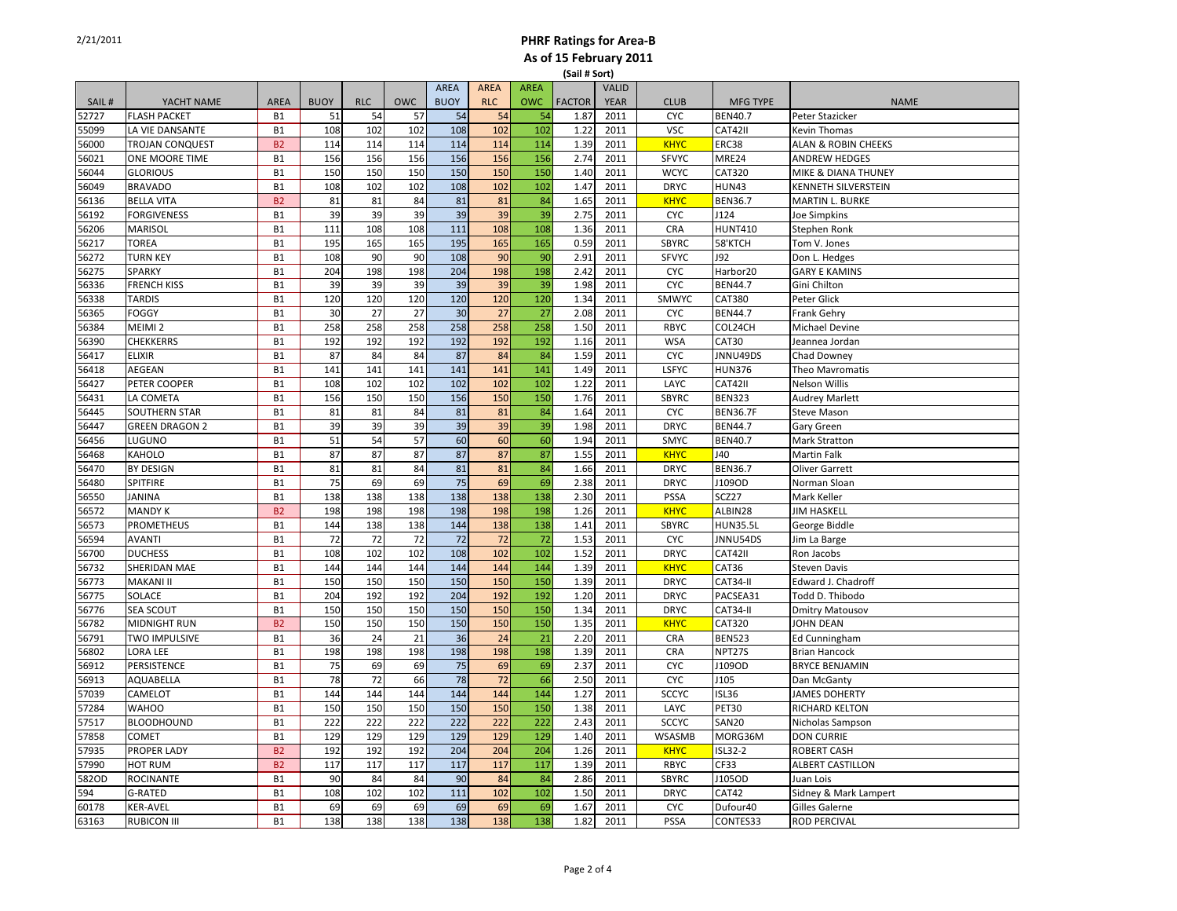|       |                        |                |             |            |            |                            |                           |                           | 13au # 301 U  |                             |              |                      |                                |
|-------|------------------------|----------------|-------------|------------|------------|----------------------------|---------------------------|---------------------------|---------------|-----------------------------|--------------|----------------------|--------------------------------|
| SAIL# | YACHT NAME             | <b>AREA</b>    | <b>BUOY</b> | <b>RLC</b> | <b>OWC</b> | <b>AREA</b><br><b>BUOY</b> | <b>AREA</b><br><b>RLC</b> | <b>AREA</b><br><b>OWC</b> | <b>FACTOR</b> | <b>VALID</b><br><b>YEAR</b> | <b>CLUB</b>  | <b>MFG TYPE</b>      | <b>NAME</b>                    |
| 52727 | <b>FLASH PACKET</b>    | <b>B1</b>      | 51          | 54         | 57         | 54                         | 54                        | 54                        | 1.87          | 2011                        | <b>CYC</b>   | <b>BEN40.7</b>       | Peter Stazicker                |
| 55099 | LA VIE DANSANTE        | <b>B1</b>      | 108         | 102        | 102        | 108                        | 102                       | 102                       | 1.22          | 2011                        | <b>VSC</b>   | CAT42II              | Kevin Thomas                   |
| 56000 | <b>TROJAN CONQUEST</b> | <b>B2</b>      | 114         | 114        | 114        | 114                        | 114                       | 114                       | 1.39          | 2011                        | <b>KHYC</b>  | ERC38                | <b>ALAN &amp; ROBIN CHEEKS</b> |
| 56021 | ONE MOORE TIME         | B1             | 156         | 156        | 156        | 156                        | 156                       | 156                       | 2.74          | 2011                        | <b>SFVYC</b> | MRE24                | <b>ANDREW HEDGES</b>           |
| 56044 | <b>GLORIOUS</b>        | B1             | 150         | 150        | 150        | 150                        | 150                       | 150                       | 1.40          | 2011                        | <b>WCYC</b>  | CAT320               | MIKE & DIANA THUNEY            |
| 56049 | <b>BRAVADO</b>         | <b>B1</b>      | 108         | 102        | 102        | 108                        | 102                       | 102                       | 1.47          | 2011                        | <b>DRYC</b>  | <b>HUN43</b>         | <b>KENNETH SILVERSTEIN</b>     |
| 56136 | <b>BELLA VITA</b>      | B <sub>2</sub> | 81          | 81         | 84         | 81                         | 81                        | 84                        | 1.65          | 2011                        | <b>KHYC</b>  | <b>BEN36.7</b>       | <b>MARTIN L. BURKE</b>         |
| 56192 | <b>FORGIVENESS</b>     | <b>B1</b>      | 39          | 39         | 39         | 39                         | 39                        | 39                        | 2.75          | 2011                        | <b>CYC</b>   | J124                 | <b>Joe Simpkins</b>            |
| 56206 | <b>MARISOL</b>         | <b>B1</b>      | 111         | 108        | 108        | 111                        | 108                       | 108                       | 1.36          | 2011                        | CRA          | <b>HUNT410</b>       | Stephen Ronk                   |
| 56217 | <b>TOREA</b>           | <b>B1</b>      | 195         | 165        | 165        | 195                        | 165                       | 165                       | 0.59          | 2011                        | <b>SBYRC</b> | 58'KTCH              | Tom V. Jones                   |
| 56272 | <b>TURN KEY</b>        | <b>B1</b>      | 108         | 90         | 90         | 108                        | 90                        | 90                        | 2.91          | 2011                        | <b>SFVYC</b> | J92                  | Don L. Hedges                  |
| 56275 | <b>SPARKY</b>          | B1             | 204         | 198        | 198        | 204                        | 198                       | 198                       | 2.42          | 2011                        | <b>CYC</b>   | Harbor <sub>20</sub> | <b>GARY E KAMINS</b>           |
| 56336 | <b>FRENCH KISS</b>     | <b>B1</b>      | 39          | 39         | 39         | 39                         | 39                        | 39                        | 1.98          | 2011                        | <b>CYC</b>   | <b>BEN44.7</b>       | Gini Chilton                   |
| 56338 | <b>TARDIS</b>          | B1             | 120         | 120        | 120        | 120                        | 120                       | 120                       | 1.34          | 2011                        | SMWYC        | CAT380               | Peter Glick                    |
| 56365 | <b>FOGGY</b>           | <b>B1</b>      | 30          | 27         | 27         | 30                         | 27                        | 27                        | 2.08          | 2011                        | <b>CYC</b>   | <b>BEN44.7</b>       | <b>Frank Gehry</b>             |
| 56384 | MEIMI <sub>2</sub>     | <b>B1</b>      | 258         | 258        | 258        | 258                        | 258                       | 258                       | 1.50          | 2011                        | RBYC         | COL24CH              | <b>Michael Devine</b>          |
| 56390 | <b>CHEKKERRS</b>       | <b>B1</b>      | 192         | 192        | 192        | 192                        | 192                       | 192                       | 1.16          | 2011                        | <b>WSA</b>   | CAT30                | Jeannea Jordan                 |
| 56417 | <b>ELIXIR</b>          | <b>B1</b>      | 87          | 84         | 84         | 87                         | 84                        | 84                        | 1.59          | 2011                        | <b>CYC</b>   | JNNU49DS             | Chad Downey                    |
| 56418 | AEGEAN                 | B1             | 141         | 141        | 141        | 141                        | 141                       | 141                       | 1.49          | 2011                        | LSFYC        | <b>HUN376</b>        | Theo Mavromatis                |
| 56427 | PETER COOPER           | <b>B1</b>      | 108         | 102        | 102        | 102                        | 102                       | 102                       | 1.22          | 2011                        | LAYC         | CAT42II              | Nelson Willis                  |
| 56431 | LA COMETA              | <b>B1</b>      | 156         | 150        | 150        | 156                        | 150                       | 150                       | 1.76          | 2011                        | <b>SBYRC</b> | <b>BEN323</b>        | <b>Audrey Marlett</b>          |
| 56445 | <b>SOUTHERN STAR</b>   | <b>B1</b>      | 81          | 81         | 84         | 81                         | 81                        | 84                        | 1.64          | 2011                        | <b>CYC</b>   | <b>BEN36.7F</b>      | <b>Steve Mason</b>             |
| 56447 | <b>GREEN DRAGON 2</b>  | <b>B1</b>      | 39          | 39         | 39         | 39                         | 39                        | 39                        | 1.98          | 2011                        | <b>DRYC</b>  | <b>BEN44.7</b>       | Gary Green                     |
| 56456 | LUGUNO                 | <b>B1</b>      | 51          | 54         | 57         | 60                         | 60                        | 60                        | 1.94          | 2011                        | SMYC         | <b>BEN40.7</b>       | <b>Mark Stratton</b>           |
| 56468 | <b>KAHOLO</b>          | <b>B1</b>      | 87          | 87         | 87         | 87                         | 87                        | 87                        | 1.55          | 2011                        | <b>KHYC</b>  | J40                  | <b>Martin Falk</b>             |
| 56470 | BY DESIGN              | <b>B1</b>      | 81          | 81         | 84         | 81                         | 81                        | 84                        | 1.66          | 2011                        | <b>DRYC</b>  | <b>BEN36.7</b>       | <b>Oliver Garrett</b>          |
| 56480 | SPITFIRE               | <b>B1</b>      | 75          | 69         | 69         | 75                         | 69                        | 69                        | 2.38          | 2011                        | <b>DRYC</b>  | J109OD               | Norman Sloan                   |
| 56550 | <b>JANINA</b>          | <b>B1</b>      | 138         | 138        | 138        | 138                        | 138                       | 138                       | 2.30          | 2011                        | PSSA         | SCZ27                | Mark Keller                    |
| 56572 | <b>MANDY K</b>         | <b>B2</b>      | 198         | 198        | 198        | 198                        | 198                       | 198                       | 1.26          | 2011                        | <b>KHYC</b>  | ALBIN28              | <b>JIM HASKELL</b>             |
| 56573 | PROMETHEUS             | <b>B1</b>      | 144         | 138        | 138        | 144                        | 138                       | 138                       | 1.41          | 2011                        | <b>SBYRC</b> | <b>HUN35.5L</b>      | George Biddle                  |
| 56594 | <b>AVANTI</b>          | <b>B1</b>      | 72          | 72         | 72         | 72                         | 72                        | 72                        | 1.53          | 2011                        | <b>CYC</b>   | JNNU54DS             | Jim La Barge                   |
| 56700 | <b>DUCHESS</b>         | <b>B1</b>      | 108         | 102        | 102        | 108                        | 102                       | 102                       | 1.52          | 2011                        | <b>DRYC</b>  | CAT42II              | Ron Jacobs                     |
| 56732 | SHERIDAN MAE           | <b>B1</b>      | 144         | 144        | 144        | 144                        | 144                       | 144                       | 1.39          | 2011                        | <b>KHYC</b>  | CAT36                | <b>Steven Davis</b>            |
| 56773 | <b>MAKANI II</b>       | <b>B1</b>      | 150         | 150        | 150        | 150                        | 150                       | 150                       | 1.39          | 2011                        | <b>DRYC</b>  | CAT34-II             | Edward J. Chadroff             |
| 56775 | SOLACE                 | B1             | 204         | 192        | 192        | 204                        | 192                       | 192                       | 1.20          | 2011                        | <b>DRYC</b>  | PACSEA31             | Todd D. Thibodo                |
| 56776 | SEA SCOUT              | <b>B1</b>      | 150         | 150        | 150        | 150                        | 150                       | 150                       | 1.34          | 2011                        | <b>DRYC</b>  | CAT34-II             | <b>Dmitry Matousov</b>         |
| 56782 | <b>MIDNIGHT RUN</b>    | <b>B2</b>      | 150         | 150        | 150        | 150                        | 150                       | 150                       | 1.35          | 2011                        | <b>KHYC</b>  | CAT320               | JOHN DEAN                      |
| 56791 | TWO IMPULSIVE          | <b>B1</b>      | 36          | 24         | 21         | 36                         | 24                        | 21                        | 2.20          | 2011                        | <b>CRA</b>   | <b>BEN523</b>        | <b>Ed Cunningham</b>           |
| 56802 | LORA LEE               | <b>B1</b>      | 198         | 198        | 198        | 198                        | 198                       | 198                       | 1.39          | 2011                        | CRA          | NPT27S               | <b>Brian Hancock</b>           |
| 56912 | PERSISTENCE            | <b>B1</b>      | 75          | 69         | 69         | 75                         | 69                        | 69                        | 2.37          | 2011                        | <b>CYC</b>   | J109OD               | <b>BRYCE BENJAMIN</b>          |
| 56913 | AQUABELLA              | <b>B1</b>      | 78          | 72         | 66         | 78                         | 72                        | 66                        | 2.50          | 2011                        | <b>CYC</b>   | J105                 | Dan McGanty                    |
| 57039 | CAMELOT                | <b>B1</b>      | 144         | 144        | 144        | 144                        | 144                       | 144                       | 1.27          | 2011                        | <b>SCCYC</b> | <b>ISL36</b>         | <b>JAMES DOHERTY</b>           |
| 57284 | <b>WAHOO</b>           | B1             | 150         | 150        | 150        | 150                        | 150                       | 150                       | 1.38          | 2011                        | LAYC         | <b>PET30</b>         | RICHARD KELTON                 |
| 57517 | <b>BLOODHOUND</b>      | <b>B1</b>      | 222         | 222        | 222        | 222                        | 222                       | 222                       | 2.43          | 2011                        | <b>SCCYC</b> | <b>SAN20</b>         | Nicholas Sampson               |
| 57858 | <b>COMET</b>           | <b>B1</b>      | 129         | 129        | 129        | 129                        | 129                       | 129                       | 1.40          | 2011                        | WSASMB       | MORG36M              | <b>DON CURRIE</b>              |
| 57935 | PROPER LADY            | <b>B2</b>      | 192         | 192        | 192        | 204                        | 204                       | 204                       | 1.26          | 2011                        | <b>KHYC</b>  | <b>ISL32-2</b>       | <b>ROBERT CASH</b>             |
| 57990 | <b>HOT RUM</b>         | <b>B2</b>      | 117         | 117        | 117        | 117                        | 117                       | 117                       | 1.39          | 2011                        | RBYC         | CF33                 | ALBERT CASTILLON               |
| 582OD | <b>ROCINANTE</b>       | <b>B1</b>      | 90          | 84         | 84         | 90                         | 84                        | 84                        | 2.86          | 2011                        | SBYRC        | J105OD               | Juan Lois                      |
| 594   | G-RATED                | <b>B1</b>      | 108         | 102        | 102        | 111                        | 102                       | 102                       | 1.50          | 2011                        | <b>DRYC</b>  | CAT42                | Sidney & Mark Lampert          |
| 60178 | <b>KER-AVEL</b>        | <b>B1</b>      | 69          | 69         | 69         | 69                         | 69                        | 69                        | 1.67          | 2011                        | <b>CYC</b>   | Dufour40             | <b>Gilles Galerne</b>          |
| 63163 | <b>RUBICON III</b>     | <b>B1</b>      | 138         | 138        | 138        | 138                        | 138                       | 138                       | 1.82          | 2011                        | PSSA         | CONTES33             | <b>ROD PERCIVAL</b>            |
|       |                        |                |             |            |            |                            |                           |                           |               |                             |              |                      |                                |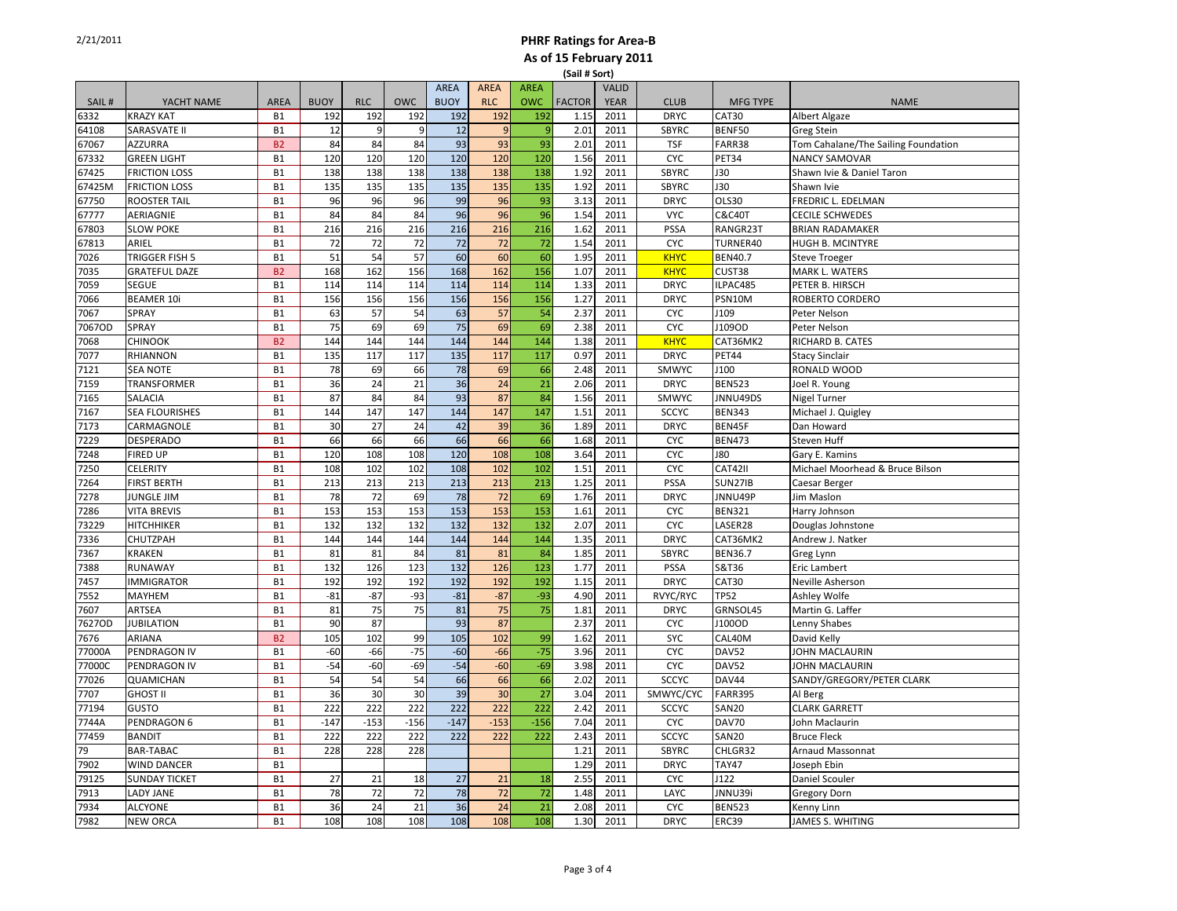|        |                       |                |             |            |            |                            |                           |                           | เ <i>ว</i> สแ# วบเเ |                             |              |                   |                                     |
|--------|-----------------------|----------------|-------------|------------|------------|----------------------------|---------------------------|---------------------------|---------------------|-----------------------------|--------------|-------------------|-------------------------------------|
| SAIL#  | YACHT NAME            | <b>AREA</b>    | <b>BUOY</b> | <b>RLC</b> | <b>OWC</b> | <b>AREA</b><br><b>BUOY</b> | <b>AREA</b><br><b>RLC</b> | <b>AREA</b><br><b>OWC</b> | <b>FACTOR</b>       | <b>VALID</b><br><b>YEAR</b> | <b>CLUB</b>  | <b>MFG TYPE</b>   | <b>NAME</b>                         |
| 6332   | <b>KRAZY KAT</b>      | <b>B1</b>      | 192         | 192        | 192        | 192                        | 192                       | 192                       | 1.15                | 2011                        | <b>DRYC</b>  | CAT30             | Albert Algaze                       |
| 64108  | <b>SARASVATE II</b>   | <b>B1</b>      | 12          | 9          | 9          | 12                         | 9                         | 9                         | 2.01                | 2011                        | <b>SBYRC</b> | BENF50            | <b>Greg Stein</b>                   |
| 67067  | <b>AZZURRA</b>        | <b>B2</b>      | 84          | 84         | 84         | 93                         | 93                        | 93                        | 2.01                | 2011                        | <b>TSF</b>   | FARR38            | Tom Cahalane/The Sailing Foundation |
| 67332  | <b>GREEN LIGHT</b>    | <b>B1</b>      | 120         | 120        | 120        | 120                        | 120                       | 120                       | 1.56                | 2011                        | <b>CYC</b>   | PET34             | <b>NANCY SAMOVAR</b>                |
| 67425  | <b>FRICTION LOSS</b>  | <b>B1</b>      | 138         | 138        | 138        | 138                        | 138                       | 138                       | 1.92                | 2011                        | <b>SBYRC</b> | <b>J30</b>        | Shawn Ivie & Daniel Taron           |
| 67425M | <b>FRICTION LOSS</b>  | <b>B1</b>      | 135         | 135        | 135        | 135                        | 135                       | 135                       | 1.92                | 2011                        | SBYRC        | <b>J30</b>        | Shawn Ivie                          |
| 67750  | <b>ROOSTER TAIL</b>   | <b>B1</b>      | 96          | 96         | 96         | 99                         | 96                        | 93                        | 3.13                | 2011                        | <b>DRYC</b>  | <b>OLS30</b>      | FREDRIC L. EDELMAN                  |
| 67777  | AERIAGNIE             | <b>B1</b>      | 84          | 84         | 84         | 96                         | 96                        | 96                        | 1.54                | 2011                        | <b>VYC</b>   | <b>C&amp;C40T</b> | <b>CECILE SCHWEDES</b>              |
| 67803  | <b>SLOW POKE</b>      | <b>B1</b>      | 216         | 216        | 216        | 216                        | 216                       | 216                       | 1.62                | 2011                        | <b>PSSA</b>  | RANGR23T          | <b>BRIAN RADAMAKER</b>              |
| 67813  | ARIEL                 | <b>B1</b>      | 72          | 72         | 72         | 72                         | 72                        | 72                        | 1.54                | 2011                        | <b>CYC</b>   | TURNER40          | HUGH B. MCINTYRE                    |
| 7026   | TRIGGER FISH 5        | <b>B1</b>      | 51          | 54         | 57         | 60                         | 60                        | 60                        | 1.95                | 2011                        | <b>KHYC</b>  | <b>BEN40.7</b>    | <b>Steve Troeger</b>                |
| 7035   | <b>GRATEFUL DAZE</b>  | B <sub>2</sub> | 168         | 162        | 156        | 168                        | 162                       | 156                       | 1.07                | 2011                        | <b>KHYC</b>  | CUST38            | MARK L. WATERS                      |
| 7059   | <b>SEGUE</b>          | <b>B1</b>      | 114         | 114        | 114        | 114                        | 114                       | 114                       | 1.33                | 2011                        | <b>DRYC</b>  | ILPAC485          | PETER B. HIRSCH                     |
| 7066   | <b>BEAMER 10i</b>     | B1             | 156         | 156        | 156        | 156                        | 156                       | 156                       | 1.27                | 2011                        | <b>DRYC</b>  | PSN10M            | ROBERTO CORDERO                     |
| 7067   | SPRAY                 | <b>B1</b>      | 63          | 57         | 54         | 63                         | 57                        | 54                        | 2.37                | 2011                        | <b>CYC</b>   | J109              | Peter Nelson                        |
| 7067OD | SPRAY                 | <b>B1</b>      | 75          | 69         | 69         | 75                         | 69                        | 69                        | 2.38                | 2011                        | <b>CYC</b>   | J109OD            | Peter Nelson                        |
| 7068   | <b>CHINOOK</b>        | <b>B2</b>      | 144         | 144        | 144        | 144                        | 144                       | 144                       | 1.38                | 2011                        | <b>KHYC</b>  | CAT36MK2          | RICHARD B. CATES                    |
| 7077   | <b>RHIANNON</b>       | <b>B1</b>      | 135         | 117        | 117        | 135                        | 117                       | 117                       | 0.97                | 2011                        | <b>DRYC</b>  | PET44             | <b>Stacy Sinclair</b>               |
| 7121   | <b>\$EA NOTE</b>      | <b>B1</b>      | 78          | 69         | 66         | 78                         | 69                        | 66                        | 2.48                | 2011                        | SMWYC        | J100              | RONALD WOOD                         |
| 7159   | TRANSFORMER           | <b>B1</b>      | 36          | 24         | 21         | 36                         | 24                        | 21                        | 2.06                | 2011                        | <b>DRYC</b>  | <b>BEN523</b>     | Joel R. Young                       |
| 7165   | <b>SALACIA</b>        | <b>B1</b>      | 87          | 84         | 84         | 93                         | 87                        | 84                        | 1.56                | 2011                        | SMWYC        | JNNU49DS          | <b>Nigel Turner</b>                 |
| 7167   | <b>SEA FLOURISHES</b> | <b>B1</b>      | 144         | 147        | 147        | 144                        | 147                       | 147                       | 1.51                | 2011                        | <b>SCCYC</b> | <b>BEN343</b>     | Michael J. Quigley                  |
| 7173   | CARMAGNOLE            | <b>B1</b>      | 30          | 27         | 24         | 42                         | 39                        | 36                        | 1.89                | 2011                        | <b>DRYC</b>  | BEN45F            | Dan Howard                          |
| 7229   | <b>DESPERADO</b>      | <b>B1</b>      | 66          | 66         | 66         | 66                         | 66                        | 66                        | 1.68                | 2011                        | <b>CYC</b>   | <b>BEN473</b>     | Steven Huff                         |
| 7248   | <b>FIRED UP</b>       | <b>B1</b>      | 120         | 108        | 108        | 120                        | 108                       | 108                       | 3.64                | 2011                        | <b>CYC</b>   | <b>J80</b>        | Gary E. Kamins                      |
| 7250   | <b>CELERITY</b>       | <b>B1</b>      | 108         | 102        | 102        | 108                        | 102                       | 102                       | 1.51                | 2011                        | <b>CYC</b>   | CAT42II           | Michael Moorhead & Bruce Bilson     |
| 7264   | <b>FIRST BERTH</b>    | <b>B1</b>      | 213         | 213        | 213        | 213                        | 213                       | 213                       | 1.25                | 2011                        | <b>PSSA</b>  | SUN27IB           | Caesar Berger                       |
| 7278   | <b>JUNGLE JIM</b>     | <b>B1</b>      | 78          | 72         | 69         | 78                         | 72                        | 69                        | 1.76                | 2011                        | <b>DRYC</b>  | JNNU49P           | Jim Maslon                          |
| 7286   | <b>VITA BREVIS</b>    | <b>B1</b>      | 153         | 153        | 153        | 153                        | 153                       | 153                       | 1.61                | 2011                        | <b>CYC</b>   | <b>BEN321</b>     | Harry Johnson                       |
| 73229  | <b>HITCHHIKER</b>     | <b>B1</b>      | 132         | 132        | 132        | 132                        | 132                       | 132                       | 2.07                | 2011                        | <b>CYC</b>   | LASER28           | Douglas Johnstone                   |
| 7336   | CHUTZPAH              | <b>B1</b>      | 144         | 144        | 144        | 144                        | 144                       | 144                       | 1.35                | 2011                        | <b>DRYC</b>  | CAT36MK2          | Andrew J. Natker                    |
| 7367   | <b>KRAKEN</b>         | <b>B1</b>      | 81          | 81         | 84         | 81                         | 81                        | 84                        | 1.85                | 2011                        | <b>SBYRC</b> | <b>BEN36.7</b>    | Greg Lynn                           |
| 7388   | <b>RUNAWAY</b>        | <b>B1</b>      | 132         | 126        | 123        | 132                        | 126                       | 123                       | 1.77                | 2011                        | PSSA         | S&T36             | Eric Lambert                        |
| 7457   | <b>IMMIGRATOR</b>     | <b>B1</b>      | 192         | 192        | 192        | 192                        | 192                       | 192                       | 1.15                | 2011                        | <b>DRYC</b>  | CAT30             | Neville Asherson                    |
| 7552   | MAYHEM                | B1             | $-81$       | $-87$      | -93        | $-81$                      | $-87$                     | $-93$                     | 4.90                | 2011                        | RVYC/RYC     | <b>TP52</b>       | Ashley Wolfe                        |
| 7607   | ARTSEA                | <b>B1</b>      | 81          | 75         | 75         | 81                         | 75                        | 75                        | 1.81                | 2011                        | <b>DRYC</b>  | GRNSOL45          | Martin G. Laffer                    |
| 7627OD | <b>JUBILATION</b>     | <b>B1</b>      | 90          | 87         |            | 93                         | 87                        |                           | 2.37                | 2011                        | <b>CYC</b>   | J100OD            | Lenny Shabes                        |
| 7676   | ARIANA                | <b>B2</b>      | 105         | 102        | 99         | 105                        | 102                       | 99                        | 1.62                | 2011                        | SYC          | CAL40M            | David Kelly                         |
| 77000A | PENDRAGON IV          | <b>B1</b>      | $-60$       | $-66$      | $-75$      | $-60$                      | $-66$                     | $-75$                     | 3.96                | 2011                        | <b>CYC</b>   | DAV52             | JOHN MACLAURIN                      |
| 77000C | PENDRAGON IV          | <b>B1</b>      | $-54$       | $-60$      | $-69$      | $-54$                      | $-60$                     | $-69$                     | 3.98                | 2011                        | <b>CYC</b>   | DAV52             | JOHN MACLAURIN                      |
| 77026  | QUAMICHAN             | <b>B1</b>      | 54          | 54         | 54         | 66                         | 66                        | 66                        | 2.02                | 2011                        | <b>SCCYC</b> | DAV44             | SANDY/GREGORY/PETER CLARK           |
| 7707   | <b>GHOST II</b>       | <b>B1</b>      | 36          | 30         | 30         | 39                         | 30                        | 27                        | 3.04                | 2011                        | SMWYC/CYC    | <b>FARR395</b>    | Al Berg                             |
| 77194  | <b>GUSTO</b>          | <b>B1</b>      | 222         | 222        | 222        | 222                        | 222                       | 222                       | 2.42                | 2011                        | <b>SCCYC</b> | <b>SAN20</b>      | <b>CLARK GARRETT</b>                |
| 7744A  | PENDRAGON 6           | <b>B1</b>      | $-147$      | $-153$     | $-156$     | $-147$                     | $-153$                    | $-156$                    | 7.04                | 2011                        | CYC          | DAV70             | John Maclaurin                      |
| 77459  | <b>BANDIT</b>         | <b>B1</b>      | 222         | 222        | 222        | 222                        | 222                       | 222                       | 2.43                | 2011                        | <b>SCCYC</b> | <b>SAN20</b>      | <b>Bruce Fleck</b>                  |
| 79     | BAR-TABAC             | <b>B1</b>      | 228         | 228        | 228        |                            |                           |                           | 1.21                | 2011                        | SBYRC        | CHLGR32           | Arnaud Massonnat                    |
| 7902   | <b>WIND DANCER</b>    | <b>B1</b>      |             |            |            |                            |                           |                           | 1.29                | 2011                        | <b>DRYC</b>  | <b>TAY47</b>      | Joseph Ebin                         |
| 79125  | <b>SUNDAY TICKET</b>  | <b>B1</b>      | 27          | 21         | 18         | 27                         | 21                        | 18                        | 2.55                | 2011                        | <b>CYC</b>   | J122              | Daniel Scouler                      |
| 7913   | <b>LADY JANE</b>      | <b>B1</b>      | 78          | 72         | 72         | 78                         | 72                        | 72                        | 1.48                | 2011                        | LAYC         | JNNU39i           | <b>Gregory Dorn</b>                 |
| 7934   | <b>ALCYONE</b>        | <b>B1</b>      | 36          | 24         | 21         | 36                         | 24                        | 21                        | 2.08                | 2011                        | <b>CYC</b>   | <b>BEN523</b>     | Kenny Linn                          |
| 7982   | <b>NEW ORCA</b>       | <b>B1</b>      | 108         | 108        | 108        | 108                        | 108                       | 108                       | 1.30                | 2011                        | <b>DRYC</b>  | ERC39             | JAMES S. WHITING                    |
|        |                       |                |             |            |            |                            |                           |                           |                     |                             |              |                   |                                     |